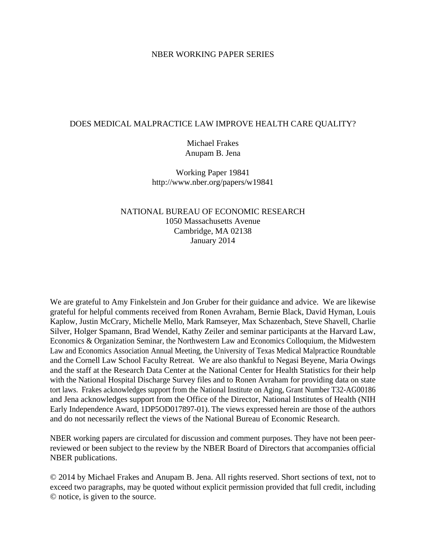# NBER WORKING PAPER SERIES

# DOES MEDICAL MALPRACTICE LAW IMPROVE HEALTH CARE QUALITY?

Michael Frakes Anupam B. Jena

Working Paper 19841 http://www.nber.org/papers/w19841

# NATIONAL BUREAU OF ECONOMIC RESEARCH 1050 Massachusetts Avenue Cambridge, MA 02138 January 2014

We are grateful to Amy Finkelstein and Jon Gruber for their guidance and advice. We are likewise grateful for helpful comments received from Ronen Avraham, Bernie Black, David Hyman, Louis Kaplow, Justin McCrary, Michelle Mello, Mark Ramseyer, Max Schazenbach, Steve Shavell, Charlie Silver, Holger Spamann, Brad Wendel, Kathy Zeiler and seminar participants at the Harvard Law, Economics & Organization Seminar, the Northwestern Law and Economics Colloquium, the Midwestern Law and Economics Association Annual Meeting, the University of Texas Medical Malpractice Roundtable and the Cornell Law School Faculty Retreat. We are also thankful to Negasi Beyene, Maria Owings and the staff at the Research Data Center at the National Center for Health Statistics for their help with the National Hospital Discharge Survey files and to Ronen Avraham for providing data on state tort laws. Frakes acknowledges support from the National Institute on Aging, Grant Number T32-AG00186 and Jena acknowledges support from the Office of the Director, National Institutes of Health (NIH Early Independence Award, 1DP5OD017897-01). The views expressed herein are those of the authors and do not necessarily reflect the views of the National Bureau of Economic Research.

NBER working papers are circulated for discussion and comment purposes. They have not been peerreviewed or been subject to the review by the NBER Board of Directors that accompanies official NBER publications.

© 2014 by Michael Frakes and Anupam B. Jena. All rights reserved. Short sections of text, not to exceed two paragraphs, may be quoted without explicit permission provided that full credit, including © notice, is given to the source.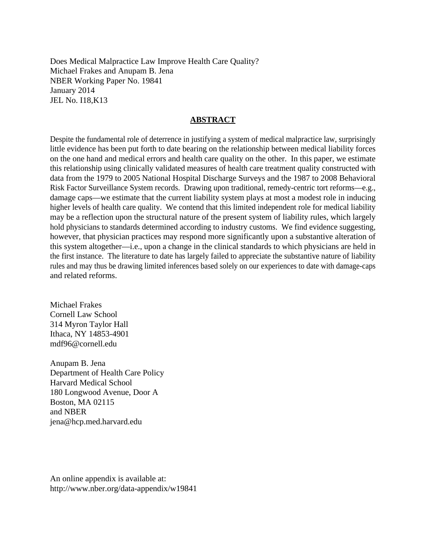Does Medical Malpractice Law Improve Health Care Quality? Michael Frakes and Anupam B. Jena NBER Working Paper No. 19841 January 2014 JEL No. I18,K13

# **ABSTRACT**

Despite the fundamental role of deterrence in justifying a system of medical malpractice law, surprisingly little evidence has been put forth to date bearing on the relationship between medical liability forces on the one hand and medical errors and health care quality on the other. In this paper, we estimate this relationship using clinically validated measures of health care treatment quality constructed with data from the 1979 to 2005 National Hospital Discharge Surveys and the 1987 to 2008 Behavioral Risk Factor Surveillance System records. Drawing upon traditional, remedy-centric tort reforms—e.g., damage caps—we estimate that the current liability system plays at most a modest role in inducing higher levels of health care quality. We contend that this limited independent role for medical liability may be a reflection upon the structural nature of the present system of liability rules, which largely hold physicians to standards determined according to industry customs. We find evidence suggesting, however, that physician practices may respond more significantly upon a substantive alteration of this system altogether—i.e., upon a change in the clinical standards to which physicians are held in the first instance. The literature to date has largely failed to appreciate the substantive nature of liability rules and may thus be drawing limited inferences based solely on our experiences to date with damage-caps and related reforms.

Michael Frakes Cornell Law School 314 Myron Taylor Hall Ithaca, NY 14853-4901 mdf96@cornell.edu

Anupam B. Jena Department of Health Care Policy Harvard Medical School 180 Longwood Avenue, Door A Boston, MA 02115 and NBER jena@hcp.med.harvard.edu

An online appendix is available at: http://www.nber.org/data-appendix/w19841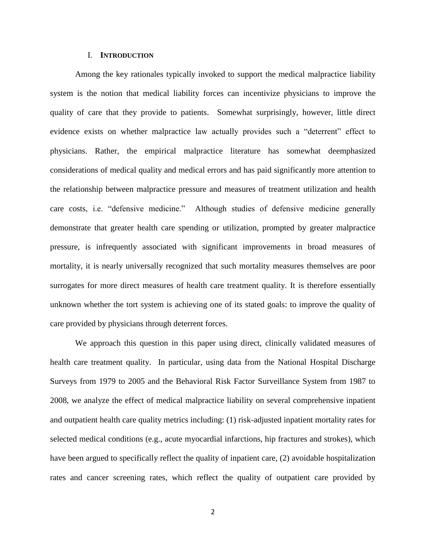## I. **INTRODUCTION**

Among the key rationales typically invoked to support the medical malpractice liability system is the notion that medical liability forces can incentivize physicians to improve the quality of care that they provide to patients. Somewhat surprisingly, however, little direct evidence exists on whether malpractice law actually provides such a "deterrent" effect to physicians. Rather, the empirical malpractice literature has somewhat deemphasized considerations of medical quality and medical errors and has paid significantly more attention to the relationship between malpractice pressure and measures of treatment utilization and health care costs, i.e. "defensive medicine." Although studies of defensive medicine generally demonstrate that greater health care spending or utilization, prompted by greater malpractice pressure, is infrequently associated with significant improvements in broad measures of mortality, it is nearly universally recognized that such mortality measures themselves are poor surrogates for more direct measures of health care treatment quality. It is therefore essentially unknown whether the tort system is achieving one of its stated goals: to improve the quality of care provided by physicians through deterrent forces.

We approach this question in this paper using direct, clinically validated measures of health care treatment quality. In particular, using data from the National Hospital Discharge Surveys from 1979 to 2005 and the Behavioral Risk Factor Surveillance System from 1987 to 2008, we analyze the effect of medical malpractice liability on several comprehensive inpatient and outpatient health care quality metrics including: (1) risk-adjusted inpatient mortality rates for selected medical conditions (e.g., acute myocardial infarctions, hip fractures and strokes), which have been argued to specifically reflect the quality of inpatient care, (2) avoidable hospitalization rates and cancer screening rates, which reflect the quality of outpatient care provided by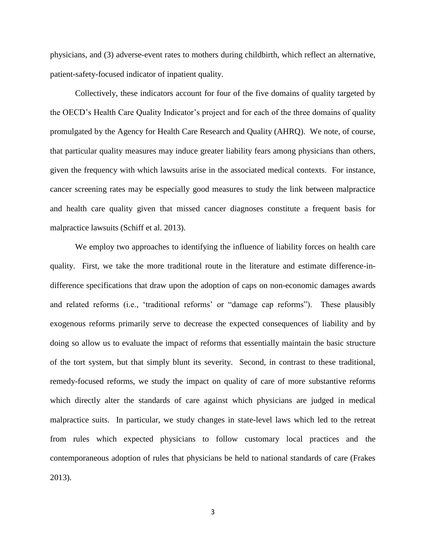physicians, and (3) adverse-event rates to mothers during childbirth, which reflect an alternative, patient-safety-focused indicator of inpatient quality.

Collectively, these indicators account for four of the five domains of quality targeted by the OECD's Health Care Quality Indicator's project and for each of the three domains of quality promulgated by the Agency for Health Care Research and Quality (AHRQ). We note, of course, that particular quality measures may induce greater liability fears among physicians than others, given the frequency with which lawsuits arise in the associated medical contexts. For instance, cancer screening rates may be especially good measures to study the link between malpractice and health care quality given that missed cancer diagnoses constitute a frequent basis for malpractice lawsuits (Schiff et al. 2013).

We employ two approaches to identifying the influence of liability forces on health care quality. First, we take the more traditional route in the literature and estimate difference-indifference specifications that draw upon the adoption of caps on non-economic damages awards and related reforms (i.e., 'traditional reforms' or "damage cap reforms"). These plausibly exogenous reforms primarily serve to decrease the expected consequences of liability and by doing so allow us to evaluate the impact of reforms that essentially maintain the basic structure of the tort system, but that simply blunt its severity. Second, in contrast to these traditional, remedy-focused reforms, we study the impact on quality of care of more substantive reforms which directly alter the standards of care against which physicians are judged in medical malpractice suits. In particular, we study changes in state-level laws which led to the retreat from rules which expected physicians to follow customary local practices and the contemporaneous adoption of rules that physicians be held to national standards of care (Frakes 2013).

3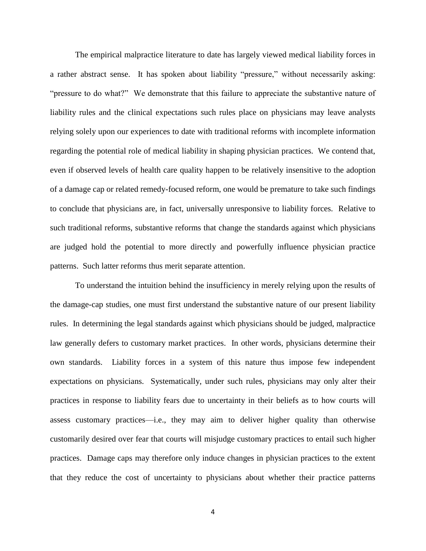The empirical malpractice literature to date has largely viewed medical liability forces in a rather abstract sense. It has spoken about liability "pressure," without necessarily asking: "pressure to do what?" We demonstrate that this failure to appreciate the substantive nature of liability rules and the clinical expectations such rules place on physicians may leave analysts relying solely upon our experiences to date with traditional reforms with incomplete information regarding the potential role of medical liability in shaping physician practices. We contend that, even if observed levels of health care quality happen to be relatively insensitive to the adoption of a damage cap or related remedy-focused reform, one would be premature to take such findings to conclude that physicians are, in fact, universally unresponsive to liability forces. Relative to such traditional reforms, substantive reforms that change the standards against which physicians are judged hold the potential to more directly and powerfully influence physician practice patterns. Such latter reforms thus merit separate attention.

To understand the intuition behind the insufficiency in merely relying upon the results of the damage-cap studies, one must first understand the substantive nature of our present liability rules. In determining the legal standards against which physicians should be judged, malpractice law generally defers to customary market practices. In other words, physicians determine their own standards. Liability forces in a system of this nature thus impose few independent expectations on physicians. Systematically, under such rules, physicians may only alter their practices in response to liability fears due to uncertainty in their beliefs as to how courts will assess customary practices—i.e., they may aim to deliver higher quality than otherwise customarily desired over fear that courts will misjudge customary practices to entail such higher practices. Damage caps may therefore only induce changes in physician practices to the extent that they reduce the cost of uncertainty to physicians about whether their practice patterns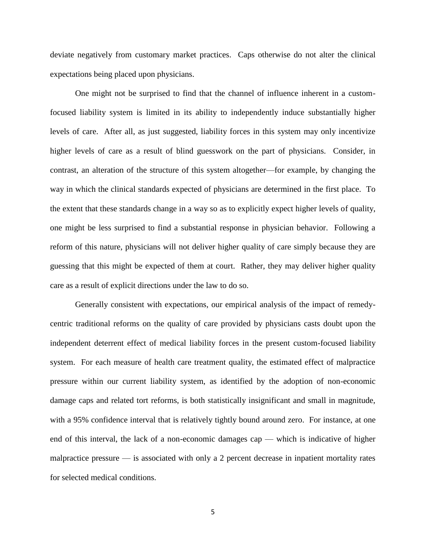deviate negatively from customary market practices. Caps otherwise do not alter the clinical expectations being placed upon physicians.

One might not be surprised to find that the channel of influence inherent in a customfocused liability system is limited in its ability to independently induce substantially higher levels of care. After all, as just suggested, liability forces in this system may only incentivize higher levels of care as a result of blind guesswork on the part of physicians. Consider, in contrast, an alteration of the structure of this system altogether—for example, by changing the way in which the clinical standards expected of physicians are determined in the first place. To the extent that these standards change in a way so as to explicitly expect higher levels of quality, one might be less surprised to find a substantial response in physician behavior. Following a reform of this nature, physicians will not deliver higher quality of care simply because they are guessing that this might be expected of them at court. Rather, they may deliver higher quality care as a result of explicit directions under the law to do so.

Generally consistent with expectations, our empirical analysis of the impact of remedycentric traditional reforms on the quality of care provided by physicians casts doubt upon the independent deterrent effect of medical liability forces in the present custom-focused liability system. For each measure of health care treatment quality, the estimated effect of malpractice pressure within our current liability system, as identified by the adoption of non-economic damage caps and related tort reforms, is both statistically insignificant and small in magnitude, with a 95% confidence interval that is relatively tightly bound around zero. For instance, at one end of this interval, the lack of a non-economic damages cap — which is indicative of higher malpractice pressure — is associated with only a 2 percent decrease in inpatient mortality rates for selected medical conditions.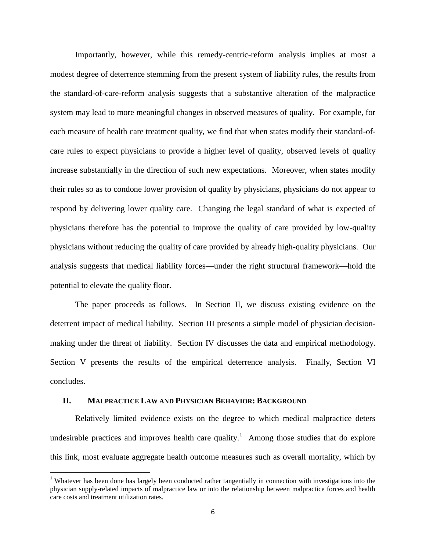Importantly, however, while this remedy-centric-reform analysis implies at most a modest degree of deterrence stemming from the present system of liability rules, the results from the standard-of-care-reform analysis suggests that a substantive alteration of the malpractice system may lead to more meaningful changes in observed measures of quality. For example, for each measure of health care treatment quality, we find that when states modify their standard-ofcare rules to expect physicians to provide a higher level of quality, observed levels of quality increase substantially in the direction of such new expectations. Moreover, when states modify their rules so as to condone lower provision of quality by physicians, physicians do not appear to respond by delivering lower quality care. Changing the legal standard of what is expected of physicians therefore has the potential to improve the quality of care provided by low-quality physicians without reducing the quality of care provided by already high-quality physicians. Our analysis suggests that medical liability forces—under the right structural framework—hold the potential to elevate the quality floor.

The paper proceeds as follows. In Section II, we discuss existing evidence on the deterrent impact of medical liability. Section III presents a simple model of physician decisionmaking under the threat of liability. Section IV discusses the data and empirical methodology. Section V presents the results of the empirical deterrence analysis. Finally, Section VI concludes.

## **II. MALPRACTICE LAW AND PHYSICIAN BEHAVIOR: BACKGROUND**

 $\overline{\phantom{a}}$ 

Relatively limited evidence exists on the degree to which medical malpractice deters undesirable practices and improves health care quality.<sup>1</sup> Among those studies that do explore this link, most evaluate aggregate health outcome measures such as overall mortality, which by

<sup>&</sup>lt;sup>1</sup> Whatever has been done has largely been conducted rather tangentially in connection with investigations into the physician supply-related impacts of malpractice law or into the relationship between malpractice forces and health care costs and treatment utilization rates.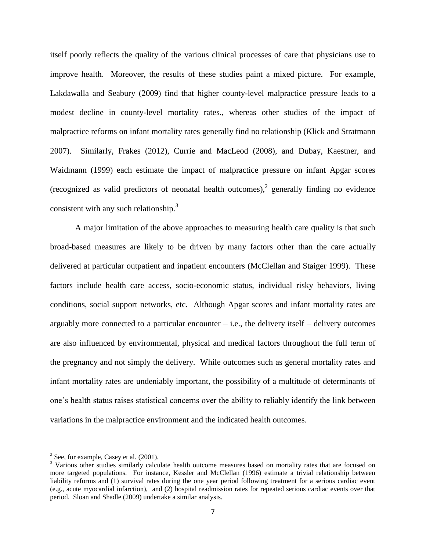itself poorly reflects the quality of the various clinical processes of care that physicians use to improve health. Moreover, the results of these studies paint a mixed picture. For example, Lakdawalla and Seabury (2009) find that higher county-level malpractice pressure leads to a modest decline in county-level mortality rates., whereas other studies of the impact of malpractice reforms on infant mortality rates generally find no relationship (Klick and Stratmann 2007). Similarly, Frakes (2012), Currie and MacLeod (2008), and Dubay, Kaestner, and Waidmann (1999) each estimate the impact of malpractice pressure on infant Apgar scores (recognized as valid predictors of neonatal health outcomes), $\frac{2}{3}$  generally finding no evidence consistent with any such relationship. $3$ 

A major limitation of the above approaches to measuring health care quality is that such broad-based measures are likely to be driven by many factors other than the care actually delivered at particular outpatient and inpatient encounters (McClellan and Staiger 1999). These factors include health care access, socio-economic status, individual risky behaviors, living conditions, social support networks, etc. Although Apgar scores and infant mortality rates are arguably more connected to a particular encounter  $-$  i.e., the delivery itself  $-$  delivery outcomes are also influenced by environmental, physical and medical factors throughout the full term of the pregnancy and not simply the delivery. While outcomes such as general mortality rates and infant mortality rates are undeniably important, the possibility of a multitude of determinants of one's health status raises statistical concerns over the ability to reliably identify the link between variations in the malpractice environment and the indicated health outcomes.

<sup>&</sup>lt;sup>2</sup> See, for example, Casey et al. (2001).

<sup>&</sup>lt;sup>3</sup> Various other studies similarly calculate health outcome measures based on mortality rates that are focused on more targeted populations. For instance, Kessler and McClellan (1996) estimate a trivial relationship between liability reforms and (1) survival rates during the one year period following treatment for a serious cardiac event (e.g., acute myocardial infarction), and (2) hospital readmission rates for repeated serious cardiac events over that period. Sloan and Shadle (2009) undertake a similar analysis.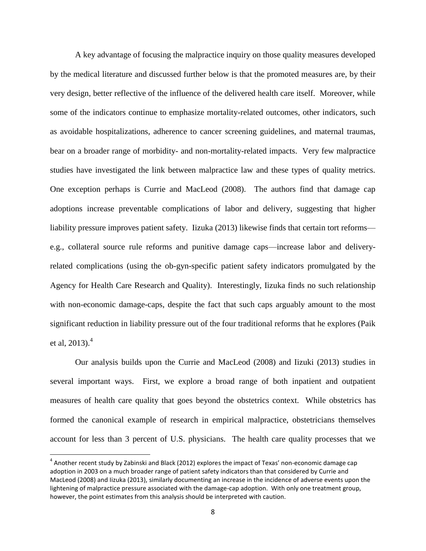A key advantage of focusing the malpractice inquiry on those quality measures developed by the medical literature and discussed further below is that the promoted measures are, by their very design, better reflective of the influence of the delivered health care itself. Moreover, while some of the indicators continue to emphasize mortality-related outcomes, other indicators, such as avoidable hospitalizations, adherence to cancer screening guidelines, and maternal traumas, bear on a broader range of morbidity- and non-mortality-related impacts. Very few malpractice studies have investigated the link between malpractice law and these types of quality metrics. One exception perhaps is Currie and MacLeod (2008). The authors find that damage cap adoptions increase preventable complications of labor and delivery, suggesting that higher liability pressure improves patient safety. Iizuka (2013) likewise finds that certain tort reforms e.g., collateral source rule reforms and punitive damage caps—increase labor and deliveryrelated complications (using the ob-gyn-specific patient safety indicators promulgated by the Agency for Health Care Research and Quality). Interestingly, Iizuka finds no such relationship with non-economic damage-caps, despite the fact that such caps arguably amount to the most significant reduction in liability pressure out of the four traditional reforms that he explores (Paik et al, 2013). $^{4}$ 

Our analysis builds upon the Currie and MacLeod (2008) and Iizuki (2013) studies in several important ways. First, we explore a broad range of both inpatient and outpatient measures of health care quality that goes beyond the obstetrics context. While obstetrics has formed the canonical example of research in empirical malpractice, obstetricians themselves account for less than 3 percent of U.S. physicians. The health care quality processes that we

l

 $^4$  Another recent study by Zabinski and Black (2012) explores the impact of Texas' non-economic damage cap adoption in 2003 on a much broader range of patient safety indicators than that considered by Currie and MacLeod (2008) and Iizuka (2013), similarly documenting an increase in the incidence of adverse events upon the lightening of malpractice pressure associated with the damage-cap adoption. With only one treatment group, however, the point estimates from this analysis should be interpreted with caution.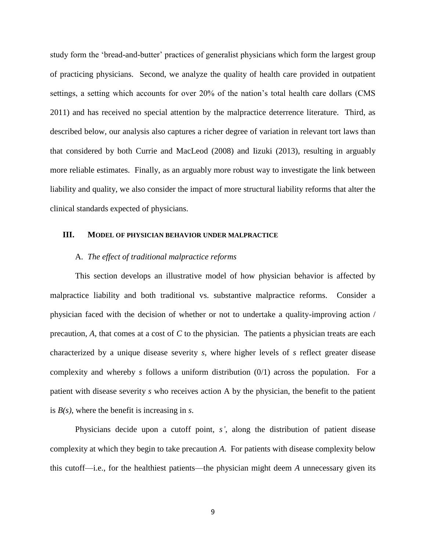study form the 'bread-and-butter' practices of generalist physicians which form the largest group of practicing physicians. Second, we analyze the quality of health care provided in outpatient settings, a setting which accounts for over 20% of the nation's total health care dollars (CMS 2011) and has received no special attention by the malpractice deterrence literature. Third, as described below, our analysis also captures a richer degree of variation in relevant tort laws than that considered by both Currie and MacLeod (2008) and Iizuki (2013), resulting in arguably more reliable estimates. Finally, as an arguably more robust way to investigate the link between liability and quality, we also consider the impact of more structural liability reforms that alter the clinical standards expected of physicians.

# **III. MODEL OF PHYSICIAN BEHAVIOR UNDER MALPRACTICE**

# A. *The effect of traditional malpractice reforms*

This section develops an illustrative model of how physician behavior is affected by malpractice liability and both traditional vs. substantive malpractice reforms. Consider a physician faced with the decision of whether or not to undertake a quality-improving action / precaution, *A*, that comes at a cost of *C* to the physician. The patients a physician treats are each characterized by a unique disease severity *s*, where higher levels of *s* reflect greater disease complexity and whereby *s* follows a uniform distribution (0/1) across the population. For a patient with disease severity *s* who receives action A by the physician, the benefit to the patient is *B(s)*, where the benefit is increasing in *s*.

Physicians decide upon a cutoff point, *s'*, along the distribution of patient disease complexity at which they begin to take precaution *A*. For patients with disease complexity below this cutoff—i.e., for the healthiest patients—the physician might deem *A* unnecessary given its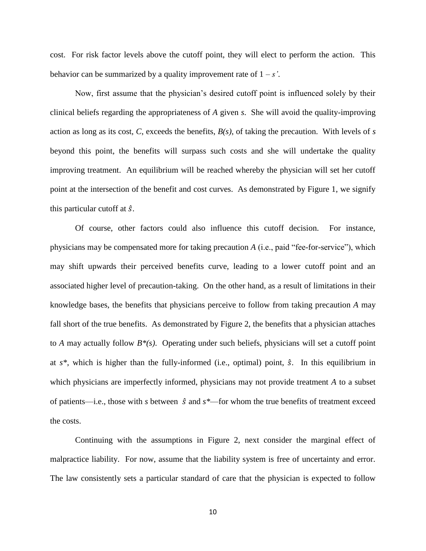cost. For risk factor levels above the cutoff point, they will elect to perform the action. This behavior can be summarized by a quality improvement rate of  $1 - s$ .

Now, first assume that the physician's desired cutoff point is influenced solely by their clinical beliefs regarding the appropriateness of *A* given *s*. She will avoid the quality-improving action as long as its cost, *C*, exceeds the benefits,  $B(s)$ , of taking the precaution. With levels of *s* beyond this point, the benefits will surpass such costs and she will undertake the quality improving treatment. An equilibrium will be reached whereby the physician will set her cutoff point at the intersection of the benefit and cost curves. As demonstrated by Figure 1, we signify this particular cutoff at  $\hat{s}$ .

Of course, other factors could also influence this cutoff decision. For instance, physicians may be compensated more for taking precaution *A* (i.e., paid "fee-for-service"), which may shift upwards their perceived benefits curve, leading to a lower cutoff point and an associated higher level of precaution-taking. On the other hand, as a result of limitations in their knowledge bases, the benefits that physicians perceive to follow from taking precaution *A* may fall short of the true benefits. As demonstrated by Figure 2, the benefits that a physician attaches to *A* may actually follow *B\*(s)*. Operating under such beliefs, physicians will set a cutoff point at  $s^*$ , which is higher than the fully-informed (i.e., optimal) point,  $\hat{s}$ . In this equilibrium in which physicians are imperfectly informed, physicians may not provide treatment *A* to a subset of patients—i.e., those with *s* between  $\hat{s}$  and  $s^*$ —for whom the true benefits of treatment exceed the costs.

Continuing with the assumptions in Figure 2, next consider the marginal effect of malpractice liability. For now, assume that the liability system is free of uncertainty and error. The law consistently sets a particular standard of care that the physician is expected to follow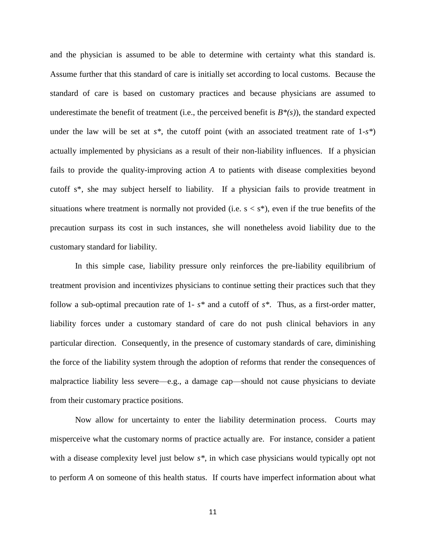and the physician is assumed to be able to determine with certainty what this standard is. Assume further that this standard of care is initially set according to local customs. Because the standard of care is based on customary practices and because physicians are assumed to underestimate the benefit of treatment (i.e., the perceived benefit is  $B^*(s)$ ), the standard expected under the law will be set at *s\**, the cutoff point (with an associated treatment rate of 1-*s\**) actually implemented by physicians as a result of their non-liability influences. If a physician fails to provide the quality-improving action *A* to patients with disease complexities beyond cutoff s\*, she may subject herself to liability. If a physician fails to provide treatment in situations where treatment is normally not provided (i.e.  $s < s^*$ ), even if the true benefits of the precaution surpass its cost in such instances, she will nonetheless avoid liability due to the customary standard for liability.

In this simple case, liability pressure only reinforces the pre-liability equilibrium of treatment provision and incentivizes physicians to continue setting their practices such that they follow a sub-optimal precaution rate of 1- *s\** and a cutoff of *s\**. Thus, as a first-order matter, liability forces under a customary standard of care do not push clinical behaviors in any particular direction. Consequently, in the presence of customary standards of care, diminishing the force of the liability system through the adoption of reforms that render the consequences of malpractice liability less severe—e.g., a damage cap—should not cause physicians to deviate from their customary practice positions.

Now allow for uncertainty to enter the liability determination process. Courts may misperceive what the customary norms of practice actually are. For instance, consider a patient with a disease complexity level just below *s\**, in which case physicians would typically opt not to perform *A* on someone of this health status. If courts have imperfect information about what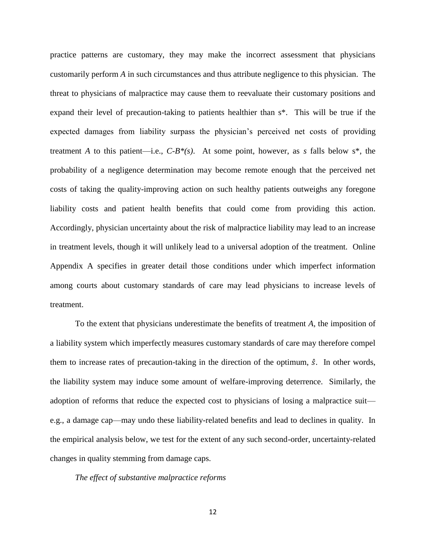practice patterns are customary, they may make the incorrect assessment that physicians customarily perform *A* in such circumstances and thus attribute negligence to this physician. The threat to physicians of malpractice may cause them to reevaluate their customary positions and expand their level of precaution-taking to patients healthier than s\*. This will be true if the expected damages from liability surpass the physician's perceived net costs of providing treatment *A* to this patient—i.e.,  $C-B^*(s)$ . At some point, however, as *s* falls below  $s^*$ , the probability of a negligence determination may become remote enough that the perceived net costs of taking the quality-improving action on such healthy patients outweighs any foregone liability costs and patient health benefits that could come from providing this action. Accordingly, physician uncertainty about the risk of malpractice liability may lead to an increase in treatment levels, though it will unlikely lead to a universal adoption of the treatment. Online Appendix A specifies in greater detail those conditions under which imperfect information among courts about customary standards of care may lead physicians to increase levels of treatment.

To the extent that physicians underestimate the benefits of treatment *A*, the imposition of a liability system which imperfectly measures customary standards of care may therefore compel them to increase rates of precaution-taking in the direction of the optimum,  $\hat{s}$ . In other words, the liability system may induce some amount of welfare-improving deterrence. Similarly, the adoption of reforms that reduce the expected cost to physicians of losing a malpractice suit e.g., a damage cap—may undo these liability-related benefits and lead to declines in quality. In the empirical analysis below, we test for the extent of any such second-order, uncertainty-related changes in quality stemming from damage caps.

# *The effect of substantive malpractice reforms*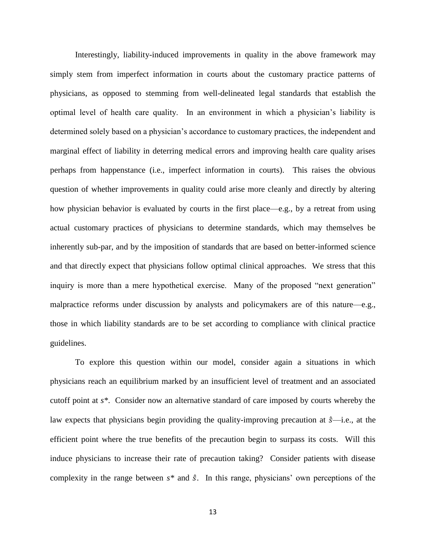Interestingly, liability-induced improvements in quality in the above framework may simply stem from imperfect information in courts about the customary practice patterns of physicians, as opposed to stemming from well-delineated legal standards that establish the optimal level of health care quality. In an environment in which a physician's liability is determined solely based on a physician's accordance to customary practices, the independent and marginal effect of liability in deterring medical errors and improving health care quality arises perhaps from happenstance (i.e., imperfect information in courts). This raises the obvious question of whether improvements in quality could arise more cleanly and directly by altering how physician behavior is evaluated by courts in the first place—e.g., by a retreat from using actual customary practices of physicians to determine standards, which may themselves be inherently sub-par, and by the imposition of standards that are based on better-informed science and that directly expect that physicians follow optimal clinical approaches. We stress that this inquiry is more than a mere hypothetical exercise. Many of the proposed "next generation" malpractice reforms under discussion by analysts and policymakers are of this nature—e.g., those in which liability standards are to be set according to compliance with clinical practice guidelines.

To explore this question within our model, consider again a situations in which physicians reach an equilibrium marked by an insufficient level of treatment and an associated cutoff point at *s\**. Consider now an alternative standard of care imposed by courts whereby the law expects that physicians begin providing the quality-improving precaution at  $\hat{s}$ —i.e., at the efficient point where the true benefits of the precaution begin to surpass its costs. Will this induce physicians to increase their rate of precaution taking? Consider patients with disease complexity in the range between  $s^*$  and  $\hat{s}$ . In this range, physicians' own perceptions of the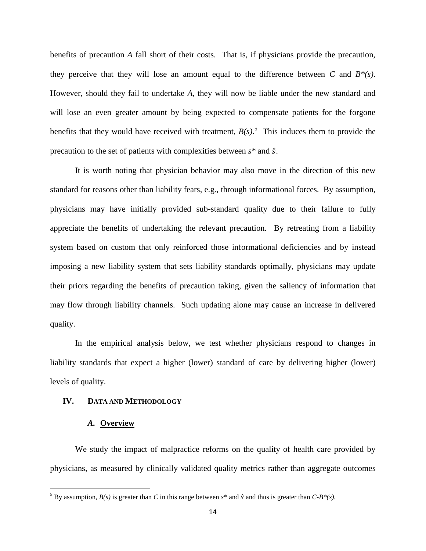benefits of precaution *A* fall short of their costs. That is, if physicians provide the precaution, they perceive that they will lose an amount equal to the difference between *C* and  $B^*(s)$ . However, should they fail to undertake *A*, they will now be liable under the new standard and will lose an even greater amount by being expected to compensate patients for the forgone benefits that they would have received with treatment,  $B(s)$ .<sup>5</sup> This induces them to provide the precaution to the set of patients with complexities between *s\** and .

It is worth noting that physician behavior may also move in the direction of this new standard for reasons other than liability fears, e.g., through informational forces. By assumption, physicians may have initially provided sub-standard quality due to their failure to fully appreciate the benefits of undertaking the relevant precaution. By retreating from a liability system based on custom that only reinforced those informational deficiencies and by instead imposing a new liability system that sets liability standards optimally, physicians may update their priors regarding the benefits of precaution taking, given the saliency of information that may flow through liability channels. Such updating alone may cause an increase in delivered quality.

In the empirical analysis below, we test whether physicians respond to changes in liability standards that expect a higher (lower) standard of care by delivering higher (lower) levels of quality.

## **IV. DATA AND METHODOLOGY**

# *A.* **Overview**

 $\overline{\phantom{a}}$ 

We study the impact of malpractice reforms on the quality of health care provided by physicians, as measured by clinically validated quality metrics rather than aggregate outcomes

<sup>&</sup>lt;sup>5</sup> By assumption,  $B(s)$  is greater than *C* in this range between  $s^*$  and  $\hat{s}$  and thus is greater than *C-B\*(s)*.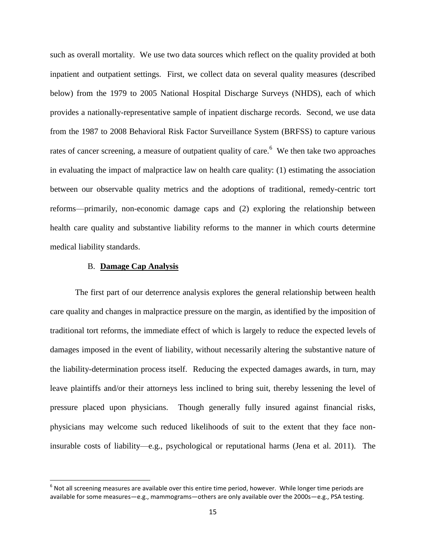such as overall mortality. We use two data sources which reflect on the quality provided at both inpatient and outpatient settings. First, we collect data on several quality measures (described below) from the 1979 to 2005 National Hospital Discharge Surveys (NHDS), each of which provides a nationally-representative sample of inpatient discharge records. Second, we use data from the 1987 to 2008 Behavioral Risk Factor Surveillance System (BRFSS) to capture various rates of cancer screening, a measure of outpatient quality of care.<sup>6</sup> We then take two approaches in evaluating the impact of malpractice law on health care quality: (1) estimating the association between our observable quality metrics and the adoptions of traditional, remedy-centric tort reforms—primarily, non-economic damage caps and (2) exploring the relationship between health care quality and substantive liability reforms to the manner in which courts determine medical liability standards.

# B. **Damage Cap Analysis**

l

The first part of our deterrence analysis explores the general relationship between health care quality and changes in malpractice pressure on the margin, as identified by the imposition of traditional tort reforms, the immediate effect of which is largely to reduce the expected levels of damages imposed in the event of liability, without necessarily altering the substantive nature of the liability-determination process itself. Reducing the expected damages awards, in turn, may leave plaintiffs and/or their attorneys less inclined to bring suit, thereby lessening the level of pressure placed upon physicians. Though generally fully insured against financial risks, physicians may welcome such reduced likelihoods of suit to the extent that they face noninsurable costs of liability—e.g., psychological or reputational harms (Jena et al. 2011). The

 $^6$  Not all screening measures are available over this entire time period, however. While longer time periods are available for some measures—e.g., mammograms—others are only available over the 2000s—e.g., PSA testing.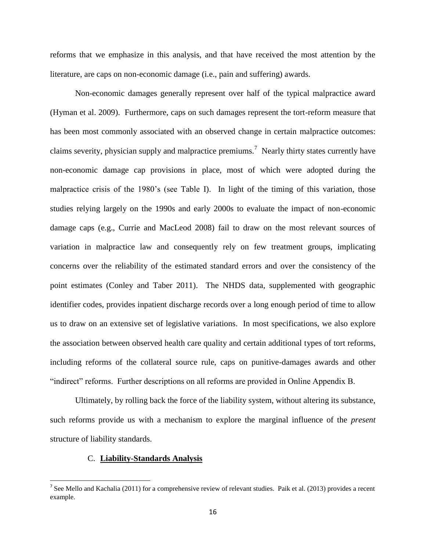reforms that we emphasize in this analysis, and that have received the most attention by the literature, are caps on non-economic damage (i.e., pain and suffering) awards.

Non-economic damages generally represent over half of the typical malpractice award (Hyman et al. 2009). Furthermore, caps on such damages represent the tort-reform measure that has been most commonly associated with an observed change in certain malpractice outcomes: claims severity, physician supply and malpractice premiums.<sup>7</sup> Nearly thirty states currently have non-economic damage cap provisions in place, most of which were adopted during the malpractice crisis of the 1980's (see Table I). In light of the timing of this variation, those studies relying largely on the 1990s and early 2000s to evaluate the impact of non-economic damage caps (e.g., Currie and MacLeod 2008) fail to draw on the most relevant sources of variation in malpractice law and consequently rely on few treatment groups, implicating concerns over the reliability of the estimated standard errors and over the consistency of the point estimates (Conley and Taber 2011). The NHDS data, supplemented with geographic identifier codes, provides inpatient discharge records over a long enough period of time to allow us to draw on an extensive set of legislative variations. In most specifications, we also explore the association between observed health care quality and certain additional types of tort reforms, including reforms of the collateral source rule, caps on punitive-damages awards and other "indirect" reforms. Further descriptions on all reforms are provided in Online Appendix B.

Ultimately, by rolling back the force of the liability system, without altering its substance, such reforms provide us with a mechanism to explore the marginal influence of the *present* structure of liability standards.

## C. **Liability-Standards Analysis**

<sup>&</sup>lt;sup>7</sup> See Mello and Kachalia (2011) for a comprehensive review of relevant studies. Paik et al. (2013) provides a recent example.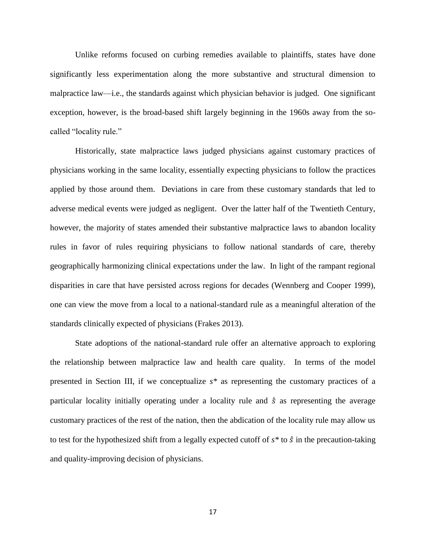Unlike reforms focused on curbing remedies available to plaintiffs, states have done significantly less experimentation along the more substantive and structural dimension to malpractice law—i.e., the standards against which physician behavior is judged. One significant exception, however, is the broad-based shift largely beginning in the 1960s away from the socalled "locality rule."

Historically, state malpractice laws judged physicians against customary practices of physicians working in the same locality, essentially expecting physicians to follow the practices applied by those around them. Deviations in care from these customary standards that led to adverse medical events were judged as negligent. Over the latter half of the Twentieth Century, however, the majority of states amended their substantive malpractice laws to abandon locality rules in favor of rules requiring physicians to follow national standards of care, thereby geographically harmonizing clinical expectations under the law. In light of the rampant regional disparities in care that have persisted across regions for decades (Wennberg and Cooper 1999), one can view the move from a local to a national-standard rule as a meaningful alteration of the standards clinically expected of physicians (Frakes 2013).

State adoptions of the national-standard rule offer an alternative approach to exploring the relationship between malpractice law and health care quality. In terms of the model presented in Section III, if we conceptualize *s\** as representing the customary practices of a particular locality initially operating under a locality rule and  $\hat{s}$  as representing the average customary practices of the rest of the nation, then the abdication of the locality rule may allow us to test for the hypothesized shift from a legally expected cutoff of  $s^*$  to  $\hat{s}$  in the precaution-taking and quality-improving decision of physicians.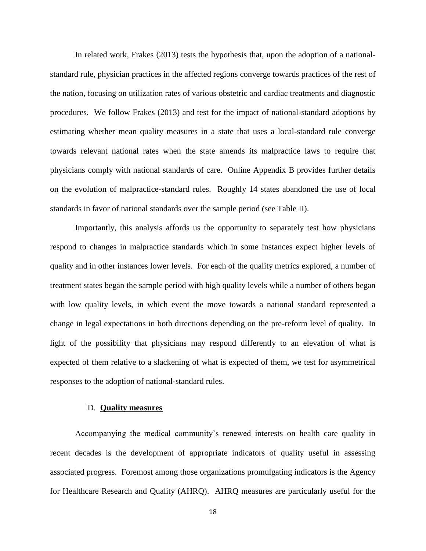In related work, Frakes (2013) tests the hypothesis that, upon the adoption of a nationalstandard rule, physician practices in the affected regions converge towards practices of the rest of the nation, focusing on utilization rates of various obstetric and cardiac treatments and diagnostic procedures. We follow Frakes (2013) and test for the impact of national-standard adoptions by estimating whether mean quality measures in a state that uses a local-standard rule converge towards relevant national rates when the state amends its malpractice laws to require that physicians comply with national standards of care. Online Appendix B provides further details on the evolution of malpractice-standard rules. Roughly 14 states abandoned the use of local standards in favor of national standards over the sample period (see Table II).

Importantly, this analysis affords us the opportunity to separately test how physicians respond to changes in malpractice standards which in some instances expect higher levels of quality and in other instances lower levels. For each of the quality metrics explored, a number of treatment states began the sample period with high quality levels while a number of others began with low quality levels, in which event the move towards a national standard represented a change in legal expectations in both directions depending on the pre-reform level of quality. In light of the possibility that physicians may respond differently to an elevation of what is expected of them relative to a slackening of what is expected of them, we test for asymmetrical responses to the adoption of national-standard rules.

#### D. **Quality measures**

Accompanying the medical community's renewed interests on health care quality in recent decades is the development of appropriate indicators of quality useful in assessing associated progress. Foremost among those organizations promulgating indicators is the Agency for Healthcare Research and Quality (AHRQ). AHRQ measures are particularly useful for the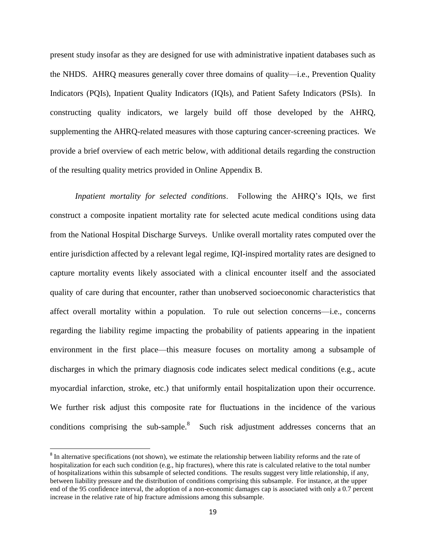present study insofar as they are designed for use with administrative inpatient databases such as the NHDS. AHRQ measures generally cover three domains of quality—i.e., Prevention Quality Indicators (PQIs), Inpatient Quality Indicators (IQIs), and Patient Safety Indicators (PSIs). In constructing quality indicators, we largely build off those developed by the AHRQ, supplementing the AHRQ-related measures with those capturing cancer-screening practices. We provide a brief overview of each metric below, with additional details regarding the construction of the resulting quality metrics provided in Online Appendix B.

*Inpatient mortality for selected conditions*. Following the AHRQ's IQIs, we first construct a composite inpatient mortality rate for selected acute medical conditions using data from the National Hospital Discharge Surveys. Unlike overall mortality rates computed over the entire jurisdiction affected by a relevant legal regime, IQI-inspired mortality rates are designed to capture mortality events likely associated with a clinical encounter itself and the associated quality of care during that encounter, rather than unobserved socioeconomic characteristics that affect overall mortality within a population. To rule out selection concerns—i.e., concerns regarding the liability regime impacting the probability of patients appearing in the inpatient environment in the first place—this measure focuses on mortality among a subsample of discharges in which the primary diagnosis code indicates select medical conditions (e.g., acute myocardial infarction, stroke, etc.) that uniformly entail hospitalization upon their occurrence. We further risk adjust this composite rate for fluctuations in the incidence of the various conditions comprising the sub-sample. $8$  Such risk adjustment addresses concerns that an

l

<sup>&</sup>lt;sup>8</sup> In alternative specifications (not shown), we estimate the relationship between liability reforms and the rate of hospitalization for each such condition (e.g., hip fractures), where this rate is calculated relative to the total number of hospitalizations within this subsample of selected conditions. The results suggest very little relationship, if any, between liability pressure and the distribution of conditions comprising this subsample. For instance, at the upper end of the 95 confidence interval, the adoption of a non-economic damages cap is associated with only a 0.7 percent increase in the relative rate of hip fracture admissions among this subsample.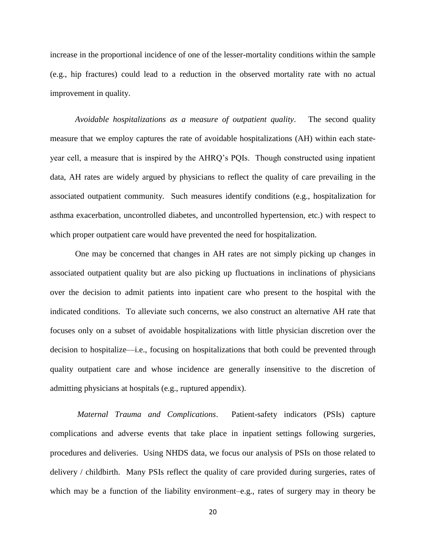increase in the proportional incidence of one of the lesser-mortality conditions within the sample (e.g., hip fractures) could lead to a reduction in the observed mortality rate with no actual improvement in quality.

*Avoidable hospitalizations as a measure of outpatient quality*. The second quality measure that we employ captures the rate of avoidable hospitalizations (AH) within each stateyear cell, a measure that is inspired by the AHRQ's PQIs. Though constructed using inpatient data, AH rates are widely argued by physicians to reflect the quality of care prevailing in the associated outpatient community. Such measures identify conditions (e.g., hospitalization for asthma exacerbation, uncontrolled diabetes, and uncontrolled hypertension, etc.) with respect to which proper outpatient care would have prevented the need for hospitalization.

One may be concerned that changes in AH rates are not simply picking up changes in associated outpatient quality but are also picking up fluctuations in inclinations of physicians over the decision to admit patients into inpatient care who present to the hospital with the indicated conditions. To alleviate such concerns, we also construct an alternative AH rate that focuses only on a subset of avoidable hospitalizations with little physician discretion over the decision to hospitalize—i.e., focusing on hospitalizations that both could be prevented through quality outpatient care and whose incidence are generally insensitive to the discretion of admitting physicians at hospitals (e.g., ruptured appendix).

*Maternal Trauma and Complications*. Patient-safety indicators (PSIs) capture complications and adverse events that take place in inpatient settings following surgeries, procedures and deliveries. Using NHDS data, we focus our analysis of PSIs on those related to delivery / childbirth. Many PSIs reflect the quality of care provided during surgeries, rates of which may be a function of the liability environment–e.g., rates of surgery may in theory be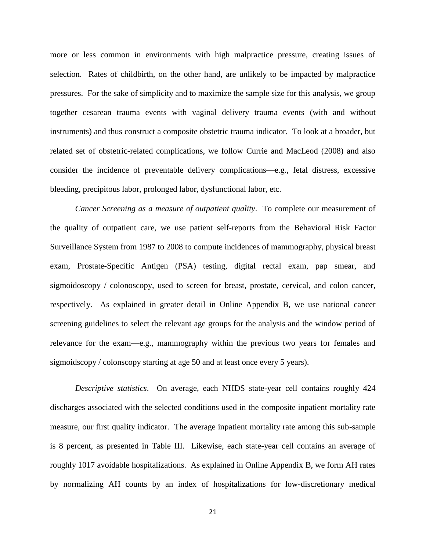more or less common in environments with high malpractice pressure, creating issues of selection. Rates of childbirth, on the other hand, are unlikely to be impacted by malpractice pressures. For the sake of simplicity and to maximize the sample size for this analysis, we group together cesarean trauma events with vaginal delivery trauma events (with and without instruments) and thus construct a composite obstetric trauma indicator. To look at a broader, but related set of obstetric-related complications, we follow Currie and MacLeod (2008) and also consider the incidence of preventable delivery complications—e.g., fetal distress, excessive bleeding, precipitous labor, prolonged labor, dysfunctional labor, etc.

*Cancer Screening as a measure of outpatient quality*. To complete our measurement of the quality of outpatient care, we use patient self-reports from the Behavioral Risk Factor Surveillance System from 1987 to 2008 to compute incidences of mammography, physical breast exam, Prostate-Specific Antigen (PSA) testing, digital rectal exam, pap smear, and sigmoidoscopy / colonoscopy, used to screen for breast, prostate, cervical, and colon cancer, respectively. As explained in greater detail in Online Appendix B, we use national cancer screening guidelines to select the relevant age groups for the analysis and the window period of relevance for the exam—e.g., mammography within the previous two years for females and sigmoidscopy / colonscopy starting at age 50 and at least once every 5 years).

*Descriptive statistics*. On average, each NHDS state-year cell contains roughly 424 discharges associated with the selected conditions used in the composite inpatient mortality rate measure, our first quality indicator. The average inpatient mortality rate among this sub-sample is 8 percent, as presented in Table III. Likewise, each state-year cell contains an average of roughly 1017 avoidable hospitalizations. As explained in Online Appendix B, we form AH rates by normalizing AH counts by an index of hospitalizations for low-discretionary medical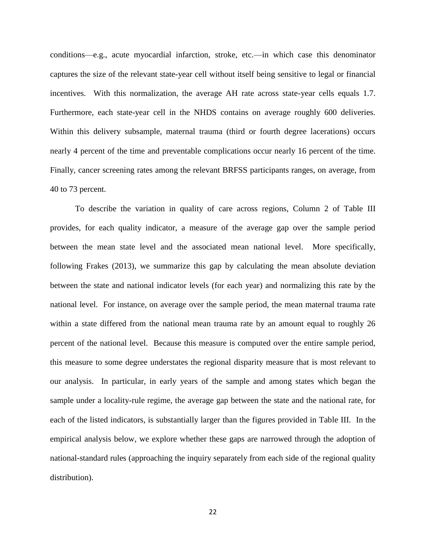conditions—e.g., acute myocardial infarction, stroke, etc.—in which case this denominator captures the size of the relevant state-year cell without itself being sensitive to legal or financial incentives. With this normalization, the average AH rate across state-year cells equals 1.7. Furthermore, each state-year cell in the NHDS contains on average roughly 600 deliveries. Within this delivery subsample, maternal trauma (third or fourth degree lacerations) occurs nearly 4 percent of the time and preventable complications occur nearly 16 percent of the time. Finally, cancer screening rates among the relevant BRFSS participants ranges, on average, from 40 to 73 percent.

To describe the variation in quality of care across regions, Column 2 of Table III provides, for each quality indicator, a measure of the average gap over the sample period between the mean state level and the associated mean national level. More specifically, following Frakes (2013), we summarize this gap by calculating the mean absolute deviation between the state and national indicator levels (for each year) and normalizing this rate by the national level. For instance, on average over the sample period, the mean maternal trauma rate within a state differed from the national mean trauma rate by an amount equal to roughly 26 percent of the national level. Because this measure is computed over the entire sample period, this measure to some degree understates the regional disparity measure that is most relevant to our analysis. In particular, in early years of the sample and among states which began the sample under a locality-rule regime, the average gap between the state and the national rate, for each of the listed indicators, is substantially larger than the figures provided in Table III. In the empirical analysis below, we explore whether these gaps are narrowed through the adoption of national-standard rules (approaching the inquiry separately from each side of the regional quality distribution).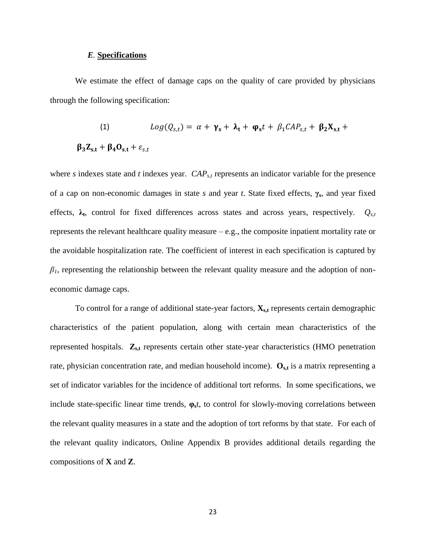## *E.* **Specifications**

We estimate the effect of damage caps on the quality of care provided by physicians through the following specification:

(1) 
$$
Log(Q_{s,t}) = \alpha + \gamma_s + \lambda_t + \varphi_s t + \beta_1 CAP_{s,t} + \beta_2 X_{s,t} + \beta_3 Z_{s,t} + \beta_4 O_{s,t} + \varepsilon_{s,t}
$$

where *s* indexes state and *t* indexes year. *CAP*<sub>*s,t*</sub> represents an indicator variable for the presence of a cap on non-economic damages in state *s* and year *t*. State fixed effects, **γs**, and year fixed effects, **λ<sup>t</sup>** , control for fixed differences across states and across years, respectively. *Qs,t* represents the relevant healthcare quality measure  $-e.g.,$  the composite inpatient mortality rate or the avoidable hospitalization rate. The coefficient of interest in each specification is captured by  $\beta$ <sup>*1*</sup>, representing the relationship between the relevant quality measure and the adoption of noneconomic damage caps.

To control for a range of additional state-year factors,  $\mathbf{X}_{s,t}$  represents certain demographic characteristics of the patient population, along with certain mean characteristics of the represented hospitals. **Zs,t** represents certain other state-year characteristics (HMO penetration rate, physician concentration rate, and median household income).  $O_{s,t}$  is a matrix representing a set of indicator variables for the incidence of additional tort reforms. In some specifications, we include state-specific linear time trends, **φs**t, to control for slowly-moving correlations between the relevant quality measures in a state and the adoption of tort reforms by that state. For each of the relevant quality indicators, Online Appendix B provides additional details regarding the compositions of **X** and **Z**.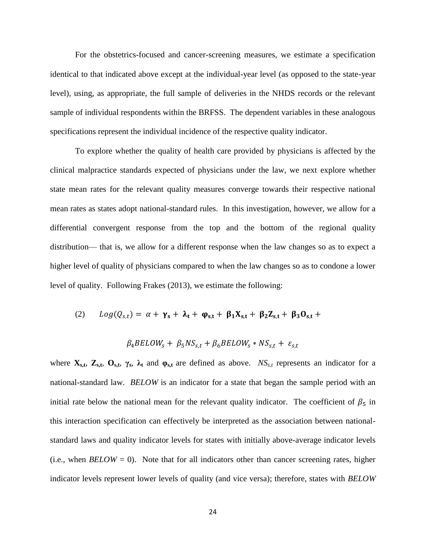For the obstetrics-focused and cancer-screening measures, we estimate a specification identical to that indicated above except at the individual-year level (as opposed to the state-year level), using, as appropriate, the full sample of deliveries in the NHDS records or the relevant sample of individual respondents within the BRFSS. The dependent variables in these analogous specifications represent the individual incidence of the respective quality indicator.

To explore whether the quality of health care provided by physicians is affected by the clinical malpractice standards expected of physicians under the law, we next explore whether state mean rates for the relevant quality measures converge towards their respective national mean rates as states adopt national-standard rules. In this investigation, however, we allow for a differential convergent response from the top and the bottom of the regional quality distribution— that is, we allow for a different response when the law changes so as to expect a higher level of quality of physicians compared to when the law changes so as to condone a lower level of quality. Following Frakes (2013), we estimate the following:

(2) 
$$
Log(Q_{s,t}) = \alpha + \gamma_s + \lambda_t + \varphi_{s,t} + \beta_1 X_{s,t} + \beta_2 Z_{s,t} + \beta_3 O_{s,t} +
$$

$$
\beta_4 BELOW_S + \beta_5 NS_{s,t} + \beta_6 BELOW_S * NS_{s,t} + \varepsilon_{s,t}
$$

where  $\mathbf{X}_{s,t}$ ,  $\mathbf{Z}_{s,t}$ ,  $\mathbf{O}_{s,t}$ ,  $\gamma_s$ ,  $\lambda_t$  and  $\varphi_{s,t}$  are defined as above. *NS<sub>s,t</sub>* represents an indicator for a national-standard law. *BELOW* is an indicator for a state that began the sample period with an initial rate below the national mean for the relevant quality indicator. The coefficient of  $\beta_5$  in this interaction specification can effectively be interpreted as the association between nationalstandard laws and quality indicator levels for states with initially above-average indicator levels (i.e., when  $BELOW = 0$ ). Note that for all indicators other than cancer screening rates, higher indicator levels represent lower levels of quality (and vice versa); therefore, states with *BELOW*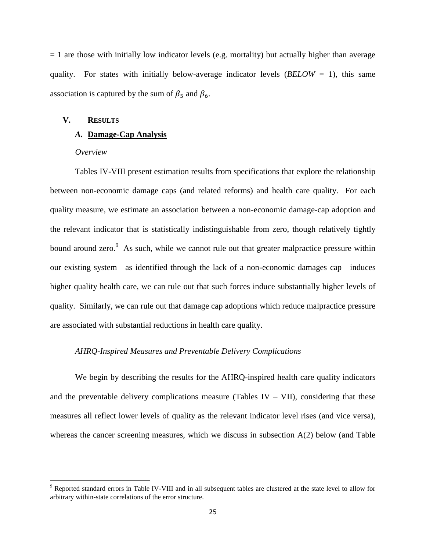$= 1$  are those with initially low indicator levels (e.g. mortality) but actually higher than average quality. For states with initially below-average indicator levels (*BELOW* = 1), this same association is captured by the sum of  $\beta_5$  and  $\beta_6$ .

### **V. RESULTS**

### *A.* **Damage-Cap Analysis**

#### *Overview*

l

Tables IV-VIII present estimation results from specifications that explore the relationship between non-economic damage caps (and related reforms) and health care quality. For each quality measure, we estimate an association between a non-economic damage-cap adoption and the relevant indicator that is statistically indistinguishable from zero, though relatively tightly bound around zero.<sup>9</sup> As such, while we cannot rule out that greater malpractice pressure within our existing system—as identified through the lack of a non-economic damages cap—induces higher quality health care, we can rule out that such forces induce substantially higher levels of quality. Similarly, we can rule out that damage cap adoptions which reduce malpractice pressure are associated with substantial reductions in health care quality.

#### *AHRQ-Inspired Measures and Preventable Delivery Complications*

We begin by describing the results for the AHRQ-inspired health care quality indicators and the preventable delivery complications measure (Tables IV – VII), considering that these measures all reflect lower levels of quality as the relevant indicator level rises (and vice versa), whereas the cancer screening measures, which we discuss in subsection A(2) below (and Table

<sup>&</sup>lt;sup>9</sup> Reported standard errors in Table IV-VIII and in all subsequent tables are clustered at the state level to allow for arbitrary within-state correlations of the error structure.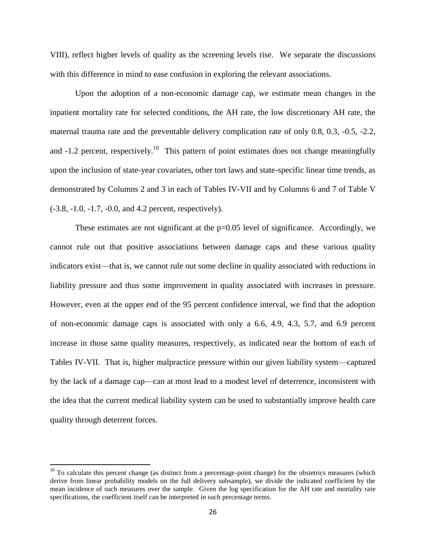VIII), reflect higher levels of quality as the screening levels rise. We separate the discussions with this difference in mind to ease confusion in exploring the relevant associations.

Upon the adoption of a non-economic damage cap, we estimate mean changes in the inpatient mortality rate for selected conditions, the AH rate, the low discretionary AH rate, the maternal trauma rate and the preventable delivery complication rate of only 0.8, 0.3, -0.5, -2.2, and  $-1.2$  percent, respectively.<sup>10</sup> This pattern of point estimates does not change meaningfully upon the inclusion of state-year covariates, other tort laws and state-specific linear time trends, as demonstrated by Columns 2 and 3 in each of Tables IV-VII and by Columns 6 and 7 of Table V (-3.8, -1.0, -1.7, -0.0, and 4.2 percent, respectively).

These estimates are not significant at the  $p=0.05$  level of significance. Accordingly, we cannot rule out that positive associations between damage caps and these various quality indicators exist—that is, we cannot rule out some decline in quality associated with reductions in liability pressure and thus some improvement in quality associated with increases in pressure. However, even at the upper end of the 95 percent confidence interval, we find that the adoption of non-economic damage caps is associated with only a 6.6, 4.9, 4.3, 5.7, and 6.9 percent increase in those same quality measures, respectively, as indicated near the bottom of each of Tables IV-VII. That is, higher malpractice pressure within our given liability system—captured by the lack of a damage cap—can at most lead to a modest level of deterrence, inconsistent with the idea that the current medical liability system can be used to substantially improve health care quality through deterrent forces.

 $\overline{\phantom{a}}$ 

 $10$  To calculate this percent change (as distinct from a percentage-point change) for the obstetrics measures (which derive from linear probability models on the full delivery subsample), we divide the indicated coefficient by the mean incidence of such measures over the sample. Given the log specification for the AH rate and mortality rate specifications, the coefficient itself can be interpreted in such percentage terms.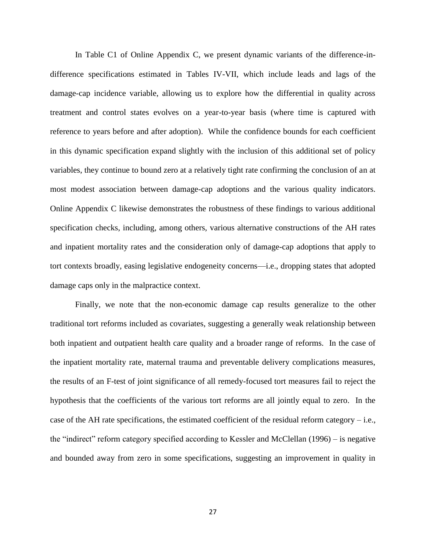In Table C1 of Online Appendix C, we present dynamic variants of the difference-indifference specifications estimated in Tables IV-VII, which include leads and lags of the damage-cap incidence variable, allowing us to explore how the differential in quality across treatment and control states evolves on a year-to-year basis (where time is captured with reference to years before and after adoption). While the confidence bounds for each coefficient in this dynamic specification expand slightly with the inclusion of this additional set of policy variables, they continue to bound zero at a relatively tight rate confirming the conclusion of an at most modest association between damage-cap adoptions and the various quality indicators. Online Appendix C likewise demonstrates the robustness of these findings to various additional specification checks, including, among others, various alternative constructions of the AH rates and inpatient mortality rates and the consideration only of damage-cap adoptions that apply to tort contexts broadly, easing legislative endogeneity concerns—i.e., dropping states that adopted damage caps only in the malpractice context.

Finally, we note that the non-economic damage cap results generalize to the other traditional tort reforms included as covariates, suggesting a generally weak relationship between both inpatient and outpatient health care quality and a broader range of reforms. In the case of the inpatient mortality rate, maternal trauma and preventable delivery complications measures, the results of an F-test of joint significance of all remedy-focused tort measures fail to reject the hypothesis that the coefficients of the various tort reforms are all jointly equal to zero. In the case of the AH rate specifications, the estimated coefficient of the residual reform category – i.e., the "indirect" reform category specified according to Kessler and McClellan (1996) – is negative and bounded away from zero in some specifications, suggesting an improvement in quality in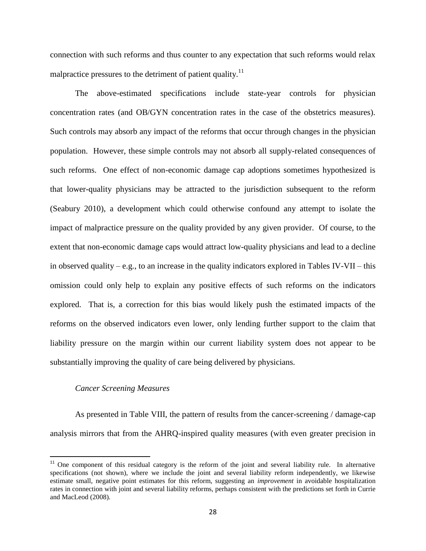connection with such reforms and thus counter to any expectation that such reforms would relax malpractice pressures to the detriment of patient quality.<sup>11</sup>

The above-estimated specifications include state-year controls for physician concentration rates (and OB/GYN concentration rates in the case of the obstetrics measures). Such controls may absorb any impact of the reforms that occur through changes in the physician population. However, these simple controls may not absorb all supply-related consequences of such reforms. One effect of non-economic damage cap adoptions sometimes hypothesized is that lower-quality physicians may be attracted to the jurisdiction subsequent to the reform (Seabury 2010), a development which could otherwise confound any attempt to isolate the impact of malpractice pressure on the quality provided by any given provider. Of course, to the extent that non-economic damage caps would attract low-quality physicians and lead to a decline in observed quality – e.g., to an increase in the quality indicators explored in Tables IV-VII – this omission could only help to explain any positive effects of such reforms on the indicators explored. That is, a correction for this bias would likely push the estimated impacts of the reforms on the observed indicators even lower, only lending further support to the claim that liability pressure on the margin within our current liability system does not appear to be substantially improving the quality of care being delivered by physicians.

#### *Cancer Screening Measures*

 $\overline{a}$ 

As presented in Table VIII, the pattern of results from the cancer-screening / damage-cap analysis mirrors that from the AHRQ-inspired quality measures (with even greater precision in

 $11$  One component of this residual category is the reform of the joint and several liability rule. In alternative specifications (not shown), where we include the joint and several liability reform independently, we likewise estimate small, negative point estimates for this reform, suggesting an *improvement* in avoidable hospitalization rates in connection with joint and several liability reforms, perhaps consistent with the predictions set forth in Currie and MacLeod (2008).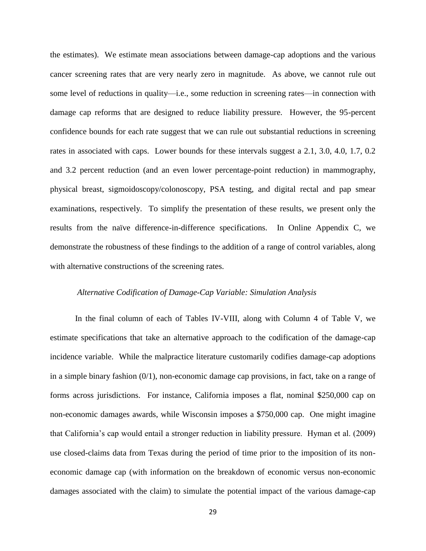the estimates). We estimate mean associations between damage-cap adoptions and the various cancer screening rates that are very nearly zero in magnitude. As above, we cannot rule out some level of reductions in quality—i.e., some reduction in screening rates—in connection with damage cap reforms that are designed to reduce liability pressure. However, the 95-percent confidence bounds for each rate suggest that we can rule out substantial reductions in screening rates in associated with caps. Lower bounds for these intervals suggest a 2.1, 3.0, 4.0, 1.7, 0.2 and 3.2 percent reduction (and an even lower percentage-point reduction) in mammography, physical breast, sigmoidoscopy/colonoscopy, PSA testing, and digital rectal and pap smear examinations, respectively. To simplify the presentation of these results, we present only the results from the naïve difference-in-difference specifications. In Online Appendix C, we demonstrate the robustness of these findings to the addition of a range of control variables, along with alternative constructions of the screening rates.

# *Alternative Codification of Damage-Cap Variable: Simulation Analysis*

In the final column of each of Tables IV-VIII, along with Column 4 of Table V, we estimate specifications that take an alternative approach to the codification of the damage-cap incidence variable. While the malpractice literature customarily codifies damage-cap adoptions in a simple binary fashion  $(0/1)$ , non-economic damage cap provisions, in fact, take on a range of forms across jurisdictions. For instance, California imposes a flat, nominal \$250,000 cap on non-economic damages awards, while Wisconsin imposes a \$750,000 cap. One might imagine that California's cap would entail a stronger reduction in liability pressure. Hyman et al. (2009) use closed-claims data from Texas during the period of time prior to the imposition of its noneconomic damage cap (with information on the breakdown of economic versus non-economic damages associated with the claim) to simulate the potential impact of the various damage-cap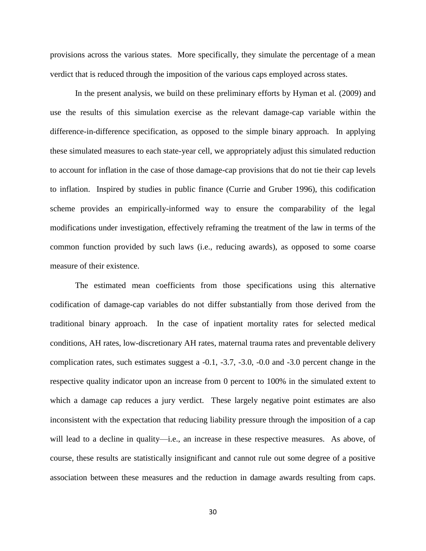provisions across the various states. More specifically, they simulate the percentage of a mean verdict that is reduced through the imposition of the various caps employed across states.

In the present analysis, we build on these preliminary efforts by Hyman et al. (2009) and use the results of this simulation exercise as the relevant damage-cap variable within the difference-in-difference specification, as opposed to the simple binary approach. In applying these simulated measures to each state-year cell, we appropriately adjust this simulated reduction to account for inflation in the case of those damage-cap provisions that do not tie their cap levels to inflation. Inspired by studies in public finance (Currie and Gruber 1996), this codification scheme provides an empirically-informed way to ensure the comparability of the legal modifications under investigation, effectively reframing the treatment of the law in terms of the common function provided by such laws (i.e., reducing awards), as opposed to some coarse measure of their existence.

The estimated mean coefficients from those specifications using this alternative codification of damage-cap variables do not differ substantially from those derived from the traditional binary approach. In the case of inpatient mortality rates for selected medical conditions, AH rates, low-discretionary AH rates, maternal trauma rates and preventable delivery complication rates, such estimates suggest a -0.1, -3.7, -3.0, -0.0 and -3.0 percent change in the respective quality indicator upon an increase from 0 percent to 100% in the simulated extent to which a damage cap reduces a jury verdict. These largely negative point estimates are also inconsistent with the expectation that reducing liability pressure through the imposition of a cap will lead to a decline in quality—i.e., an increase in these respective measures. As above, of course, these results are statistically insignificant and cannot rule out some degree of a positive association between these measures and the reduction in damage awards resulting from caps.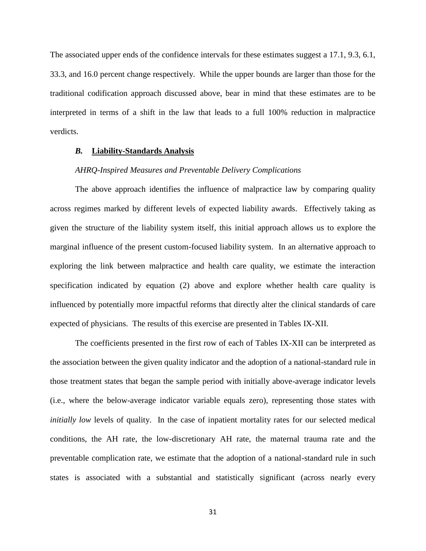The associated upper ends of the confidence intervals for these estimates suggest a 17.1, 9.3, 6.1, 33.3, and 16.0 percent change respectively. While the upper bounds are larger than those for the traditional codification approach discussed above, bear in mind that these estimates are to be interpreted in terms of a shift in the law that leads to a full 100% reduction in malpractice verdicts.

### *B.* **Liability-Standards Analysis**

# *AHRQ-Inspired Measures and Preventable Delivery Complications*

The above approach identifies the influence of malpractice law by comparing quality across regimes marked by different levels of expected liability awards. Effectively taking as given the structure of the liability system itself, this initial approach allows us to explore the marginal influence of the present custom-focused liability system. In an alternative approach to exploring the link between malpractice and health care quality, we estimate the interaction specification indicated by equation (2) above and explore whether health care quality is influenced by potentially more impactful reforms that directly alter the clinical standards of care expected of physicians. The results of this exercise are presented in Tables IX-XII.

The coefficients presented in the first row of each of Tables IX-XII can be interpreted as the association between the given quality indicator and the adoption of a national-standard rule in those treatment states that began the sample period with initially above-average indicator levels (i.e., where the below-average indicator variable equals zero), representing those states with *initially low* levels of quality. In the case of inpatient mortality rates for our selected medical conditions, the AH rate, the low-discretionary AH rate, the maternal trauma rate and the preventable complication rate, we estimate that the adoption of a national-standard rule in such states is associated with a substantial and statistically significant (across nearly every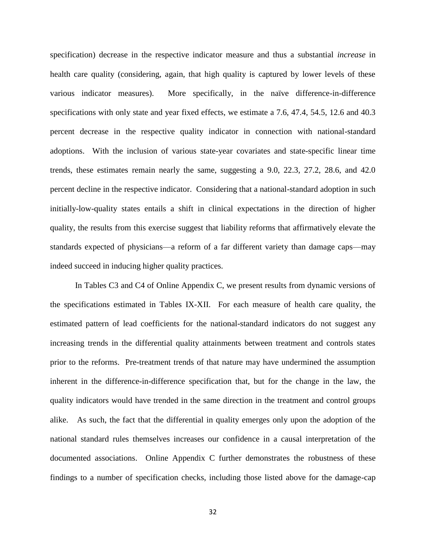specification) decrease in the respective indicator measure and thus a substantial *increase* in health care quality (considering, again, that high quality is captured by lower levels of these various indicator measures). More specifically, in the naïve difference-in-difference specifications with only state and year fixed effects, we estimate a 7.6, 47.4, 54.5, 12.6 and 40.3 percent decrease in the respective quality indicator in connection with national-standard adoptions. With the inclusion of various state-year covariates and state-specific linear time trends, these estimates remain nearly the same, suggesting a 9.0, 22.3, 27.2, 28.6, and 42.0 percent decline in the respective indicator. Considering that a national-standard adoption in such initially-low-quality states entails a shift in clinical expectations in the direction of higher quality, the results from this exercise suggest that liability reforms that affirmatively elevate the standards expected of physicians—a reform of a far different variety than damage caps—may indeed succeed in inducing higher quality practices.

In Tables C3 and C4 of Online Appendix C, we present results from dynamic versions of the specifications estimated in Tables IX-XII. For each measure of health care quality, the estimated pattern of lead coefficients for the national-standard indicators do not suggest any increasing trends in the differential quality attainments between treatment and controls states prior to the reforms. Pre-treatment trends of that nature may have undermined the assumption inherent in the difference-in-difference specification that, but for the change in the law, the quality indicators would have trended in the same direction in the treatment and control groups alike. As such, the fact that the differential in quality emerges only upon the adoption of the national standard rules themselves increases our confidence in a causal interpretation of the documented associations. Online Appendix C further demonstrates the robustness of these findings to a number of specification checks, including those listed above for the damage-cap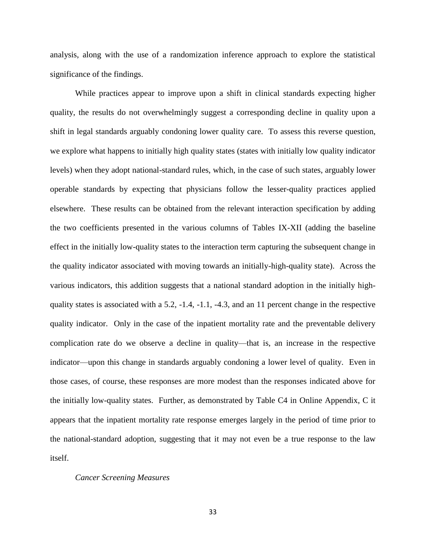analysis, along with the use of a randomization inference approach to explore the statistical significance of the findings.

While practices appear to improve upon a shift in clinical standards expecting higher quality, the results do not overwhelmingly suggest a corresponding decline in quality upon a shift in legal standards arguably condoning lower quality care. To assess this reverse question, we explore what happens to initially high quality states (states with initially low quality indicator levels) when they adopt national-standard rules, which, in the case of such states, arguably lower operable standards by expecting that physicians follow the lesser-quality practices applied elsewhere. These results can be obtained from the relevant interaction specification by adding the two coefficients presented in the various columns of Tables IX-XII (adding the baseline effect in the initially low-quality states to the interaction term capturing the subsequent change in the quality indicator associated with moving towards an initially-high-quality state). Across the various indicators, this addition suggests that a national standard adoption in the initially highquality states is associated with a 5.2, -1.4, -1.1, -4.3, and an 11 percent change in the respective quality indicator. Only in the case of the inpatient mortality rate and the preventable delivery complication rate do we observe a decline in quality—that is, an increase in the respective indicator—upon this change in standards arguably condoning a lower level of quality. Even in those cases, of course, these responses are more modest than the responses indicated above for the initially low-quality states. Further, as demonstrated by Table C4 in Online Appendix, C it appears that the inpatient mortality rate response emerges largely in the period of time prior to the national-standard adoption, suggesting that it may not even be a true response to the law itself.

#### *Cancer Screening Measures*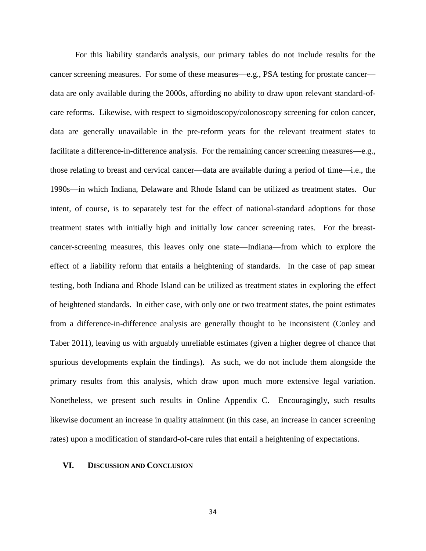For this liability standards analysis, our primary tables do not include results for the cancer screening measures. For some of these measures—e.g., PSA testing for prostate cancer data are only available during the 2000s, affording no ability to draw upon relevant standard-ofcare reforms. Likewise, with respect to sigmoidoscopy/colonoscopy screening for colon cancer, data are generally unavailable in the pre-reform years for the relevant treatment states to facilitate a difference-in-difference analysis. For the remaining cancer screening measures—e.g., those relating to breast and cervical cancer—data are available during a period of time—i.e., the 1990s—in which Indiana, Delaware and Rhode Island can be utilized as treatment states. Our intent, of course, is to separately test for the effect of national-standard adoptions for those treatment states with initially high and initially low cancer screening rates. For the breastcancer-screening measures, this leaves only one state—Indiana—from which to explore the effect of a liability reform that entails a heightening of standards. In the case of pap smear testing, both Indiana and Rhode Island can be utilized as treatment states in exploring the effect of heightened standards. In either case, with only one or two treatment states, the point estimates from a difference-in-difference analysis are generally thought to be inconsistent (Conley and Taber 2011), leaving us with arguably unreliable estimates (given a higher degree of chance that spurious developments explain the findings). As such, we do not include them alongside the primary results from this analysis, which draw upon much more extensive legal variation. Nonetheless, we present such results in Online Appendix C. Encouragingly, such results likewise document an increase in quality attainment (in this case, an increase in cancer screening rates) upon a modification of standard-of-care rules that entail a heightening of expectations.

### **VI. DISCUSSION AND CONCLUSION**

34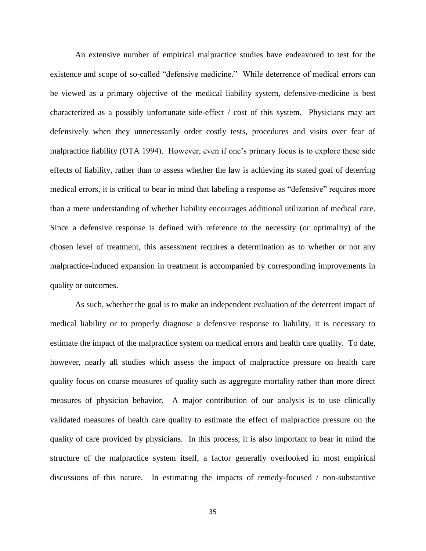An extensive number of empirical malpractice studies have endeavored to test for the existence and scope of so-called "defensive medicine." While deterrence of medical errors can be viewed as a primary objective of the medical liability system, defensive-medicine is best characterized as a possibly unfortunate side-effect / cost of this system. Physicians may act defensively when they unnecessarily order costly tests, procedures and visits over fear of malpractice liability (OTA 1994). However, even if one's primary focus is to explore these side effects of liability, rather than to assess whether the law is achieving its stated goal of deterring medical errors, it is critical to bear in mind that labeling a response as "defensive" requires more than a mere understanding of whether liability encourages additional utilization of medical care. Since a defensive response is defined with reference to the necessity (or optimality) of the chosen level of treatment, this assessment requires a determination as to whether or not any malpractice-induced expansion in treatment is accompanied by corresponding improvements in quality or outcomes.

As such, whether the goal is to make an independent evaluation of the deterrent impact of medical liability or to properly diagnose a defensive response to liability, it is necessary to estimate the impact of the malpractice system on medical errors and health care quality. To date, however, nearly all studies which assess the impact of malpractice pressure on health care quality focus on coarse measures of quality such as aggregate mortality rather than more direct measures of physician behavior. A major contribution of our analysis is to use clinically validated measures of health care quality to estimate the effect of malpractice pressure on the quality of care provided by physicians. In this process, it is also important to bear in mind the structure of the malpractice system itself, a factor generally overlooked in most empirical discussions of this nature. In estimating the impacts of remedy-focused / non-substantive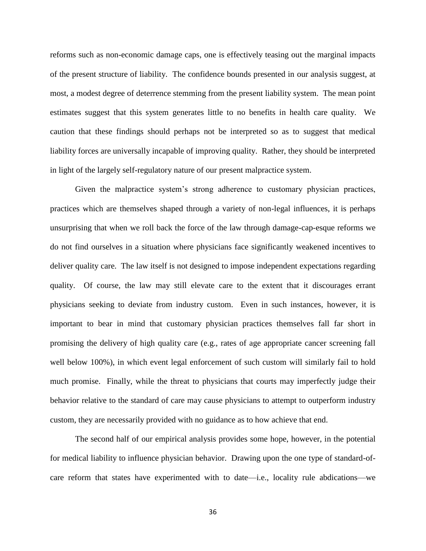reforms such as non-economic damage caps, one is effectively teasing out the marginal impacts of the present structure of liability. The confidence bounds presented in our analysis suggest, at most, a modest degree of deterrence stemming from the present liability system. The mean point estimates suggest that this system generates little to no benefits in health care quality. We caution that these findings should perhaps not be interpreted so as to suggest that medical liability forces are universally incapable of improving quality. Rather, they should be interpreted in light of the largely self-regulatory nature of our present malpractice system.

Given the malpractice system's strong adherence to customary physician practices, practices which are themselves shaped through a variety of non-legal influences, it is perhaps unsurprising that when we roll back the force of the law through damage-cap-esque reforms we do not find ourselves in a situation where physicians face significantly weakened incentives to deliver quality care. The law itself is not designed to impose independent expectations regarding quality. Of course, the law may still elevate care to the extent that it discourages errant physicians seeking to deviate from industry custom. Even in such instances, however, it is important to bear in mind that customary physician practices themselves fall far short in promising the delivery of high quality care (e.g., rates of age appropriate cancer screening fall well below 100%), in which event legal enforcement of such custom will similarly fail to hold much promise. Finally, while the threat to physicians that courts may imperfectly judge their behavior relative to the standard of care may cause physicians to attempt to outperform industry custom, they are necessarily provided with no guidance as to how achieve that end.

The second half of our empirical analysis provides some hope, however, in the potential for medical liability to influence physician behavior. Drawing upon the one type of standard-ofcare reform that states have experimented with to date—i.e., locality rule abdications—we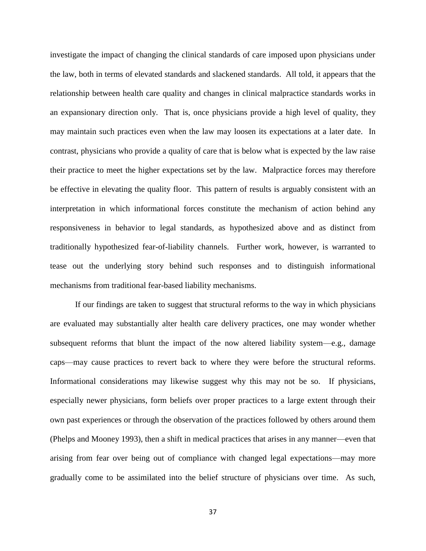investigate the impact of changing the clinical standards of care imposed upon physicians under the law, both in terms of elevated standards and slackened standards. All told, it appears that the relationship between health care quality and changes in clinical malpractice standards works in an expansionary direction only. That is, once physicians provide a high level of quality, they may maintain such practices even when the law may loosen its expectations at a later date. In contrast, physicians who provide a quality of care that is below what is expected by the law raise their practice to meet the higher expectations set by the law. Malpractice forces may therefore be effective in elevating the quality floor. This pattern of results is arguably consistent with an interpretation in which informational forces constitute the mechanism of action behind any responsiveness in behavior to legal standards, as hypothesized above and as distinct from traditionally hypothesized fear-of-liability channels. Further work, however, is warranted to tease out the underlying story behind such responses and to distinguish informational mechanisms from traditional fear-based liability mechanisms.

If our findings are taken to suggest that structural reforms to the way in which physicians are evaluated may substantially alter health care delivery practices, one may wonder whether subsequent reforms that blunt the impact of the now altered liability system—e.g., damage caps—may cause practices to revert back to where they were before the structural reforms. Informational considerations may likewise suggest why this may not be so. If physicians, especially newer physicians, form beliefs over proper practices to a large extent through their own past experiences or through the observation of the practices followed by others around them (Phelps and Mooney 1993), then a shift in medical practices that arises in any manner—even that arising from fear over being out of compliance with changed legal expectations—may more gradually come to be assimilated into the belief structure of physicians over time. As such,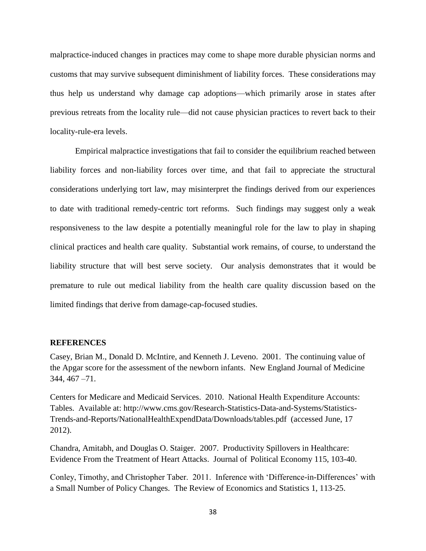malpractice-induced changes in practices may come to shape more durable physician norms and customs that may survive subsequent diminishment of liability forces. These considerations may thus help us understand why damage cap adoptions—which primarily arose in states after previous retreats from the locality rule—did not cause physician practices to revert back to their locality-rule-era levels.

Empirical malpractice investigations that fail to consider the equilibrium reached between liability forces and non-liability forces over time, and that fail to appreciate the structural considerations underlying tort law, may misinterpret the findings derived from our experiences to date with traditional remedy-centric tort reforms. Such findings may suggest only a weak responsiveness to the law despite a potentially meaningful role for the law to play in shaping clinical practices and health care quality. Substantial work remains, of course, to understand the liability structure that will best serve society. Our analysis demonstrates that it would be premature to rule out medical liability from the health care quality discussion based on the limited findings that derive from damage-cap-focused studies.

#### **REFERENCES**

Casey, Brian M., Donald D. McIntire, and Kenneth J. Leveno. 2001. The continuing value of the Apgar score for the assessment of the newborn infants. New England Journal of Medicine 344, 467 –71.

Centers for Medicare and Medicaid Services. 2010. National Health Expenditure Accounts: Tables. Available at: http://www.cms.gov/Research-Statistics-Data-and-Systems/Statistics-Trends-and-Reports/NationalHealthExpendData/Downloads/tables.pdf (accessed June, 17 2012).

Chandra, Amitabh, and Douglas O. Staiger. 2007. Productivity Spillovers in Healthcare: Evidence From the Treatment of Heart Attacks. Journal of Political Economy 115, 103-40.

Conley, Timothy, and Christopher Taber. 2011. Inference with 'Difference-in-Differences' with a Small Number of Policy Changes. The Review of Economics and Statistics 1, 113-25.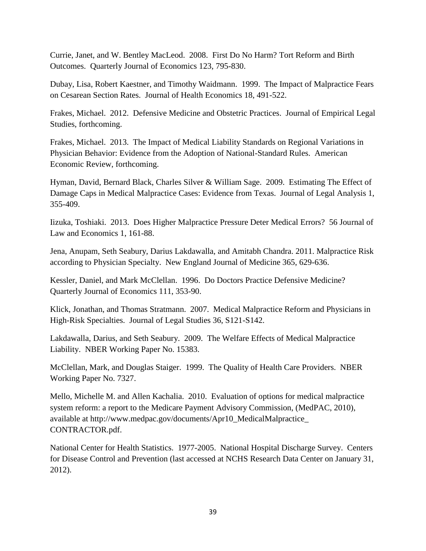Currie, Janet, and W. Bentley MacLeod. 2008. First Do No Harm? Tort Reform and Birth Outcomes. Quarterly Journal of Economics 123, 795-830.

Dubay, Lisa, Robert Kaestner, and Timothy Waidmann. 1999. The Impact of Malpractice Fears on Cesarean Section Rates. Journal of Health Economics 18, 491-522.

Frakes, Michael. 2012. Defensive Medicine and Obstetric Practices. Journal of Empirical Legal Studies, forthcoming.

Frakes, Michael. 2013. The Impact of Medical Liability Standards on Regional Variations in Physician Behavior: Evidence from the Adoption of National-Standard Rules. American Economic Review, forthcoming.

Hyman, David, Bernard Black, Charles Silver & William Sage. 2009. Estimating The Effect of Damage Caps in Medical Malpractice Cases: Evidence from Texas. Journal of Legal Analysis 1, 355-409.

Iizuka, Toshiaki. 2013. Does Higher Malpractice Pressure Deter Medical Errors? 56 Journal of Law and Economics 1, 161-88.

Jena, Anupam, Seth Seabury, Darius Lakdawalla, and Amitabh Chandra. 2011. Malpractice Risk according to Physician Specialty. New England Journal of Medicine 365, 629-636.

Kessler, Daniel, and Mark McClellan. 1996. Do Doctors Practice Defensive Medicine? Quarterly Journal of Economics 111, 353-90.

Klick, Jonathan, and Thomas Stratmann. 2007. Medical Malpractice Reform and Physicians in High-Risk Specialties. Journal of Legal Studies 36, S121-S142.

Lakdawalla, Darius, and Seth Seabury. 2009. The Welfare Effects of Medical Malpractice Liability. NBER Working Paper No. 15383.

McClellan, Mark, and Douglas Staiger. 1999. The Quality of Health Care Providers. NBER Working Paper No. 7327.

Mello, Michelle M. and Allen Kachalia. 2010. Evaluation of options for medical malpractice system reform: a report to the Medicare Payment Advisory Commission, (MedPAC, 2010), available at http://www.medpac.gov/documents/Apr10\_MedicalMalpractice\_ CONTRACTOR.pdf.

National Center for Health Statistics. 1977-2005. National Hospital Discharge Survey. Centers for Disease Control and Prevention (last accessed at NCHS Research Data Center on January 31, 2012).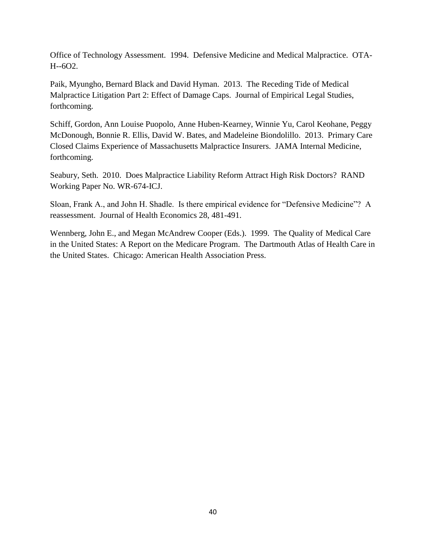Office of Technology Assessment. 1994. Defensive Medicine and Medical Malpractice. OTA-H--6O2.

Paik, Myungho, Bernard Black and David Hyman. 2013. The Receding Tide of Medical Malpractice Litigation Part 2: Effect of Damage Caps. Journal of Empirical Legal Studies, forthcoming.

Schiff, Gordon, Ann Louise Puopolo, Anne Huben-Kearney, Winnie Yu, Carol Keohane, Peggy McDonough, Bonnie R. Ellis, David W. Bates, and Madeleine Biondolillo. 2013. Primary Care Closed Claims Experience of Massachusetts Malpractice Insurers. JAMA Internal Medicine, forthcoming.

Seabury, Seth. 2010. Does Malpractice Liability Reform Attract High Risk Doctors? RAND Working Paper No. WR-674-ICJ.

Sloan, Frank A., and John H. Shadle. Is there empirical evidence for "Defensive Medicine"? A reassessment. Journal of Health Economics 28, 481-491.

Wennberg, John E., and Megan McAndrew Cooper (Eds.). 1999. The Quality of Medical Care in the United States: A Report on the Medicare Program. The Dartmouth Atlas of Health Care in the United States. Chicago: American Health Association Press.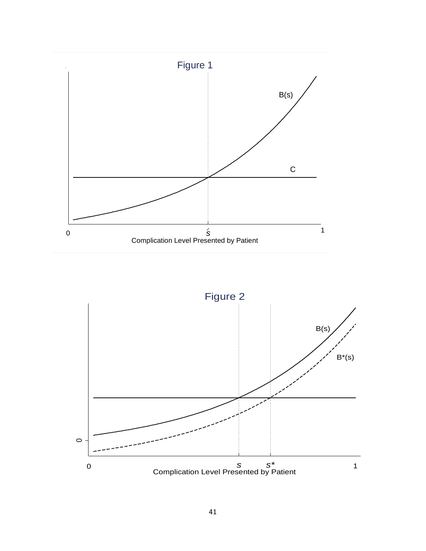

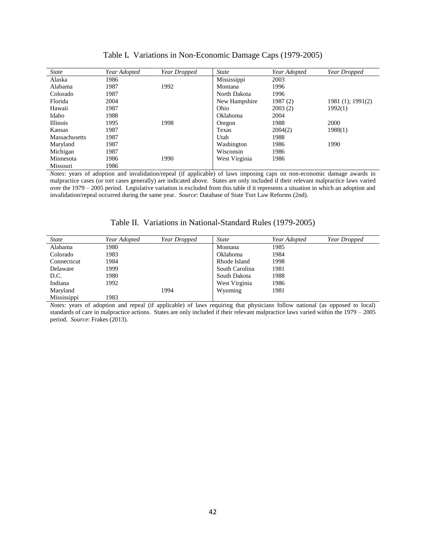| <b>State</b>    | Year Adopted | Year Dropped | <b>State</b>  | Year Adopted | Year Dropped          |
|-----------------|--------------|--------------|---------------|--------------|-----------------------|
| Alaska          | 1986         |              | Mississippi   | 2003         |                       |
| Alabama         | 1987         | 1992         | Montana       | 1996         |                       |
| Colorado        | 1987         |              | North Dakota  | 1996         |                       |
| Florida         | 2004         |              | New Hampshire | 1987(2)      | $1981(1)$ ; $1991(2)$ |
| Hawaii          | 1987         |              | Ohio          | 2003(2)      | 1992(1)               |
| Idaho           | 1988         |              | Oklahoma      | 2004         |                       |
| <b>Illinois</b> | 1995         | 1998         | Oregon        | 1988         | 2000                  |
| Kansas          | 1987         |              | Texas         | 2004(2)      | 1988(1)               |
| Massachusetts   | 1987         |              | Utah          | 1988         |                       |
| Maryland        | 1987         |              | Washington    | 1986         | 1990                  |
| Michigan        | 1987         |              | Wisconsin     | 1986         |                       |
| Minnesota       | 1986         | 1990         | West Virginia | 1986         |                       |
| Missouri        | 1986         |              |               |              |                       |

|  |  |  | Table I. Variations in Non-Economic Damage Caps (1979-2005) |  |  |
|--|--|--|-------------------------------------------------------------|--|--|
|--|--|--|-------------------------------------------------------------|--|--|

*Notes*: years of adoption and invalidation/repeal (if applicable) of laws imposing caps on non-economic damage awards in malpractice cases (or tort cases generally) are indicated above. States are only included if their relevant malpractice laws varied over the 1979 – 2005 period. Legislative variation is excluded from this table if it represents a situation in which an adoption and invalidation/repeal occurred during the same year. *Source*: Database of State Tort Law Reforms (2nd).

| State       | Year Adopted | Year Dropped | State          | Year Adopted | Year Dropped |
|-------------|--------------|--------------|----------------|--------------|--------------|
| Alabama     | 1980         |              | Montana        | 1985         |              |
| Colorado    | 1983         |              | Oklahoma       | 1984         |              |
| Connecticut | 1984         |              | Rhode Island   | 1998         |              |
| Delaware    | 1999         |              | South Carolina | 1981         |              |
| D.C.        | 1980         |              | South Dakota   | 1988         |              |
| Indiana     | 1992         |              | West Virginia  | 1986         |              |
| Maryland    |              | 1994         | Wyoming        | 1981         |              |
| Mississippi | 1983         |              |                |              |              |

Table II. Variations in National-Standard Rules (1979-2005)

*Notes*: years of adoption and repeal (if applicable) of laws requiring that physicians follow national (as opposed to local) standards of care in malpractice actions. States are only included if their relevant malpractice laws varied within the 1979 – 2005 period. *Source*: Frakes (2013).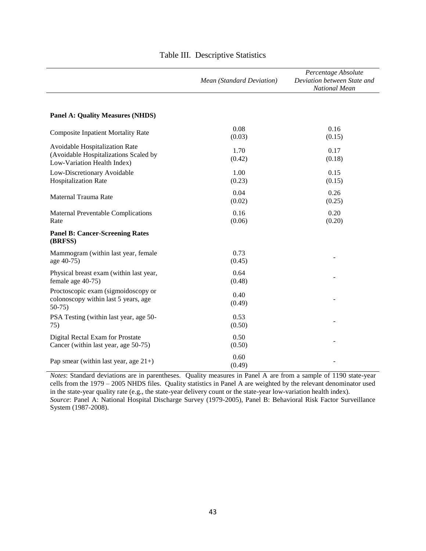|                                                                                                        | Mean (Standard Deviation) | Percentage Absolute<br>Deviation between State and<br>National Mean |
|--------------------------------------------------------------------------------------------------------|---------------------------|---------------------------------------------------------------------|
| <b>Panel A: Quality Measures (NHDS)</b>                                                                |                           |                                                                     |
| <b>Composite Inpatient Mortality Rate</b>                                                              | 0.08<br>(0.03)            | 0.16<br>(0.15)                                                      |
| Avoidable Hospitalization Rate<br>(Avoidable Hospitalizations Scaled by<br>Low-Variation Health Index) | 1.70<br>(0.42)            | 0.17<br>(0.18)                                                      |
| Low-Discretionary Avoidable<br><b>Hospitalization Rate</b>                                             | 1.00<br>(0.23)            | 0.15<br>(0.15)                                                      |
| Maternal Trauma Rate                                                                                   | 0.04<br>(0.02)            | 0.26<br>(0.25)                                                      |
| <b>Maternal Preventable Complications</b><br>Rate                                                      | 0.16<br>(0.06)            | 0.20<br>(0.20)                                                      |
| <b>Panel B: Cancer-Screening Rates</b><br>(BRFSS)                                                      |                           |                                                                     |
| Mammogram (within last year, female<br>age 40-75)                                                      | 0.73<br>(0.45)            |                                                                     |
| Physical breast exam (within last year,<br>female age 40-75)                                           | 0.64<br>(0.48)            |                                                                     |
| Proctoscopic exam (sigmoidoscopy or<br>colonoscopy within last 5 years, age<br>$50-75$                 | 0.40<br>(0.49)            |                                                                     |
| PSA Testing (within last year, age 50-<br>75)                                                          | 0.53<br>(0.50)            |                                                                     |
| Digital Rectal Exam for Prostate<br>Cancer (within last year, age 50-75)                               | 0.50<br>(0.50)            |                                                                     |
| Pap smear (within last year, age $21+$ )                                                               | 0.60<br>(0.49)            |                                                                     |

# Table III. Descriptive Statistics

*Notes*: Standard deviations are in parentheses. Quality measures in Panel A are from a sample of 1190 state-year cells from the 1979 – 2005 NHDS files. Quality statistics in Panel A are weighted by the relevant denominator used in the state-year quality rate (e.g., the state-year delivery count or the state-year low-variation health index). *Source*: Panel A: National Hospital Discharge Survey (1979-2005), Panel B: Behavioral Risk Factor Surveillance System (1987-2008).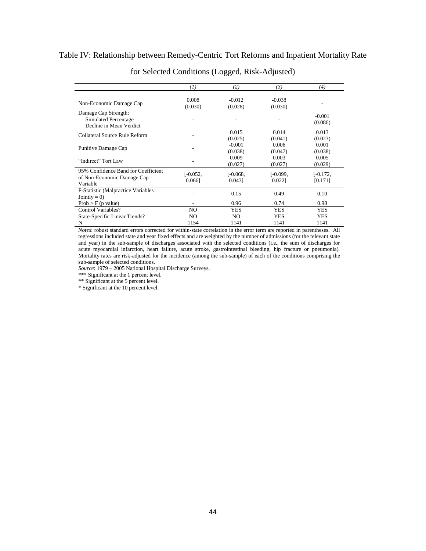# Table IV: Relationship between Remedy-Centric Tort Reforms and Inpatient Mortality Rate

|                                                                               | (1)                     | (2)                  | (3)                  | (4)                   |
|-------------------------------------------------------------------------------|-------------------------|----------------------|----------------------|-----------------------|
| Non-Economic Damage Cap                                                       | 0.008<br>(0.030)        | $-0.012$<br>(0.028)  | $-0.038$<br>(0.030)  |                       |
| Damage Cap Strength:<br>Simulated Percentage<br>Decline in Mean Verdict       |                         |                      |                      | $-0.001$<br>(0.086)   |
| Collateral Source Rule Reform                                                 |                         | 0.015<br>(0.025)     | 0.014<br>(0.041)     | 0.013<br>(0.023)      |
| Punitive Damage Cap                                                           |                         | $-0.001$<br>(0.038)  | 0.006<br>(0.047)     | 0.001<br>(0.038)      |
| "Indirect" Tort Law                                                           |                         | 0.009<br>(0.027)     | 0.003<br>(0.027)     | 0.005<br>(0.029)      |
| 95% Confidence Band for Coefficient<br>of Non-Economic Damage Cap<br>Variable | $[-0.052,$<br>$0.066$ ] | $[-0.068,$<br>0.0431 | $[-0.099,$<br>0.0221 | $[-0.172,$<br>[0.171] |
| F-Statistic (Malpractice Variables<br>$Jointly = 0$                           |                         | 0.15                 | 0.49                 | 0.10                  |
| $Prob > F$ (p value)                                                          | ۰                       | 0.96                 | 0.74                 | 0.98                  |
| Control Variables?                                                            | NO.                     | <b>YES</b>           | <b>YES</b>           | YES.                  |
| State-Specific Linear Trends?                                                 | NO.                     | NO.                  | <b>YES</b>           | <b>YES</b>            |
| N                                                                             | 1154                    | 1141                 | 1141                 | 1141                  |

for Selected Conditions (Logged, Risk-Adjusted)

*Notes*: robust standard errors corrected for within-state correlation in the error term are reported in parentheses. All regressions included state and year fixed effects and are weighted by the number of admissions (for the relevant state and year) in the sub-sample of discharges associated with the selected conditions (i.e., the sum of discharges for acute myocardial infarction, heart failure, acute stroke, gastrointestinal bleeding, hip fracture or pneumonia). Mortality rates are risk-adjusted for the incidence (among the sub-sample) of each of the conditions comprising the sub-sample of selected conditions.

*Source*: 1979 – 2005 National Hospital Discharge Surveys.

\*\*\* Significant at the 1 percent level.

\*\* Significant at the 5 percent level.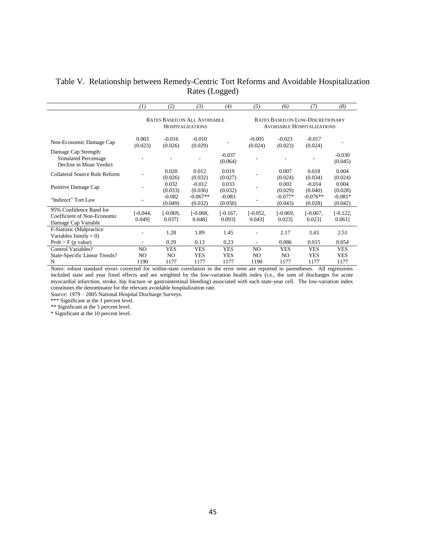# Table V. Relationship between Remedy-Centric Tort Reforms and Avoidable Hospitalization Rates (Logged)

|                                                                               | (1)                  | (2)                  | (3)                                                            | (4)                  | (5)                  | (6)                     | (7)                                                                          | (8)                     |
|-------------------------------------------------------------------------------|----------------------|----------------------|----------------------------------------------------------------|----------------------|----------------------|-------------------------|------------------------------------------------------------------------------|-------------------------|
|                                                                               |                      |                      | <b>RATES BASED ON ALL AVOIDABLE</b><br><b>HOSPITALIZATIONS</b> |                      |                      |                         | <b>RATES BASED ON LOW-DISCRETIONARY</b><br><b>AVOIDABLE HOSPITALIZATIONS</b> |                         |
| Non-Economic Damage Cap                                                       | 0.003<br>(0.023)     | $-0.016$<br>(0.026)  | $-0.010$<br>(0.029)                                            |                      | $-0.005$<br>(0.024)  | $-0.023$<br>(0.023)     | $-0.017$<br>(0.024)                                                          |                         |
| Damage Cap Strength:<br>Simulated Percentage<br>Decline in Mean Verdict       |                      |                      |                                                                | $-0.037$<br>(0.064)  |                      |                         |                                                                              | $-0.030$<br>(0.045)     |
| Collateral Source Rule Reform                                                 |                      | 0.020<br>(0.026)     | 0.012<br>(0.032)                                               | 0.019<br>(0.027)     |                      | 0.007<br>(0.024)        | 0.018<br>(0.034)                                                             | 0.004<br>(0.024)        |
| Punitive Damage Cap                                                           |                      | 0.032<br>(0.033)     | $-0.012$<br>(0.036)                                            | 0.033<br>(0.032)     |                      | 0.002<br>(0.029)        | $-0.014$<br>(0.040)                                                          | 0.004<br>(0.028)        |
| "Indirect" Tort Law                                                           |                      | $-0.082$<br>(0.049)  | $-0.067**$<br>(0.032)                                          | $-0.083$<br>(0.050)  |                      | $-0.077*$<br>(0.043)    | $-0.076**$<br>(0.028)                                                        | $-0.081*$<br>(0.042)    |
| 95% Confidence Band for<br>Coefficient of Non-Economic<br>Damage Cap Variable | $[-0.044]$<br>0.0491 | $[-0.069,$<br>0.037] | $[-0.068,$<br>0.0481                                           | $[-0.167,$<br>0.0931 | $[-0.052,$<br>0.0431 | $[-0.069,$<br>$0.023$ ] | $[-0.067,$<br>0.0231                                                         | $[-0.122,$<br>$0.061$ ] |
| F-Statistic (Malpractice<br>Variables Jointly = $0$ )                         |                      | 1.28                 | 1.89                                                           | 1.45                 |                      | 2.17                    | 3.43                                                                         | 2.51                    |
| $Prob > F$ (p value)                                                          |                      | 0.29                 | 0.13                                                           | 0.23                 |                      | 0.086                   | 0.015                                                                        | 0.054                   |
| Control Variables?                                                            | NO.                  | <b>YES</b>           | <b>YES</b>                                                     | <b>YES</b>           | NO                   | <b>YES</b>              | <b>YES</b>                                                                   | <b>YES</b>              |
| State-Specific Linear Trends?                                                 | NO.                  | NO                   | <b>YES</b>                                                     | YES                  | NO                   | NO.                     | <b>YES</b>                                                                   | <b>YES</b>              |
| N<br>$\mathbf{r}$<br>$\sim$<br>$\cdot$ $\cdot$                                | 1190<br>$\sim$       | 1177                 | 1177                                                           | 1177                 | 1190                 | 1177<br>$\cdot$ $\cdot$ | 1177                                                                         | 1177                    |

*Notes*: robust standard errors corrected for within-state correlation in the error term are reported in parentheses. All regressions included state and year fixed effects and are weighted by the low-variation health index (i.e., the sum of discharges for acute myocardial infarction, stroke, hip fracture or gastrointestinal bleeding) associated with each state-year cell. The low-variation index constitutes the denominator for the relevant avoidable hospitalization rate.

*Source*: 1979 – 2005 National Hospital Discharge Surveys.

\*\*\* Significant at the 1 percent level.

\*\* Significant at the 5 percent level.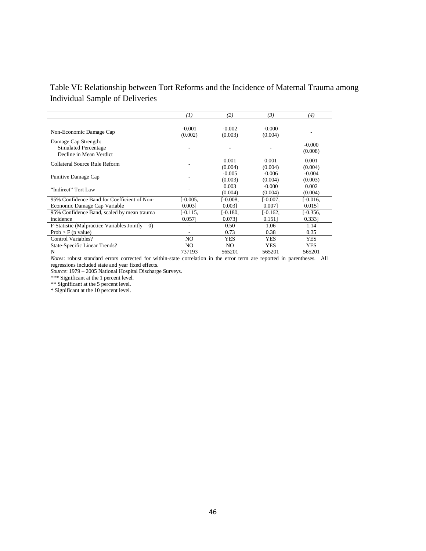# Table VI: Relationship between Tort Reforms and the Incidence of Maternal Trauma among Individual Sample of Deliveries

|                                                                         | $\left(1\right)$    | (2)                 | (3)                 | (4)                 |
|-------------------------------------------------------------------------|---------------------|---------------------|---------------------|---------------------|
| Non-Economic Damage Cap                                                 | $-0.001$<br>(0.002) | $-0.002$<br>(0.003) | $-0.000$<br>(0.004) |                     |
| Damage Cap Strength:<br>Simulated Percentage<br>Decline in Mean Verdict |                     |                     |                     | $-0.000$<br>(0.008) |
| Collateral Source Rule Reform                                           |                     | 0.001<br>(0.004)    | 0.001<br>(0.004)    | 0.001<br>(0.004)    |
| Punitive Damage Cap                                                     |                     | $-0.005$<br>(0.003) | $-0.006$<br>(0.004) | $-0.004$<br>(0.003) |
| "Indirect" Tort Law                                                     |                     | 0.003<br>(0.004)    | $-0.000$<br>(0.004) | 0.002<br>(0.004)    |
| 95% Confidence Band for Coefficient of Non-                             | $[-0.005,$          | $[-0.008]$          | $[-0.007,$          | $[-0.016,$          |
| Economic Damage Cap Variable                                            | 0.0031              | 0.0031              | 0.0071              | $0.015$ ]           |
| 95% Confidence Band, scaled by mean trauma                              | [-0.115,            | $[-0.180,$          | [-0.162,            | $[-0.356,$          |
| incidence                                                               | 0.0571              | 0.0731              | 0.151               | 0.3331              |
| F-Statistic (Malpractice Variables Jointly = 0)                         |                     | 0.50                | 1.06                | 1.14                |
| Prob > F(p value)                                                       |                     | 0.73                | 0.38                | 0.35                |
| Control Variables?                                                      | NO.                 | <b>YES</b>          | YES                 | <b>YES</b>          |
| State-Specific Linear Trends?                                           | NO.                 | N <sub>O</sub>      | <b>YES</b>          | <b>YES</b>          |
| N                                                                       | 737193              | 565201              | 565201              | 565201              |

*Notes*: robust standard errors corrected for within-state correlation in the error term are reported in parentheses. All regressions included state and year fixed effects.

*Source*: 1979 – 2005 National Hospital Discharge Surveys.

\*\*\* Significant at the 1 percent level.

\*\* Significant at the 5 percent level.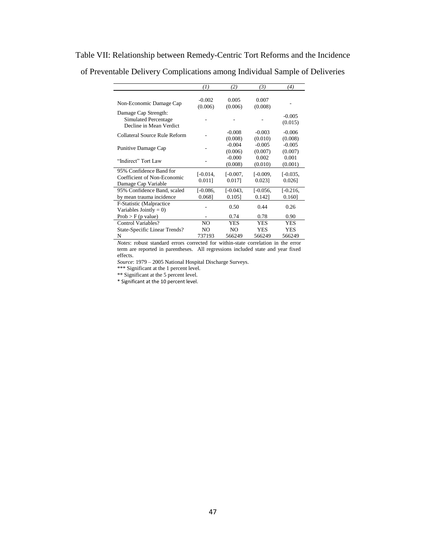|                               | (1)        | (2)            | (3)        | (4)        |
|-------------------------------|------------|----------------|------------|------------|
|                               |            |                |            |            |
| Non-Economic Damage Cap       | $-0.002$   | 0.005          | 0.007      |            |
|                               | (0.006)    | (0.006)        | (0.008)    |            |
| Damage Cap Strength:          |            |                |            | $-0.005$   |
| Simulated Percentage          |            |                |            | (0.015)    |
| Decline in Mean Verdict       |            |                |            |            |
| Collateral Source Rule Reform |            | $-0.008$       | $-0.003$   | $-0.006$   |
|                               |            | (0.008)        | (0.010)    | (0.008)    |
|                               |            | $-0.004$       | $-0.005$   | $-0.005$   |
| Punitive Damage Cap           |            | (0.006)        | (0.007)    | (0.007)    |
|                               |            | $-0.000$       | 0.002      | 0.001      |
| "Indirect" Tort Law           |            | (0.008)        | (0.010)    | (0.001)    |
| 95% Confidence Band for       |            |                |            |            |
| Coefficient of Non-Economic   | $[-0.014,$ | $[-0.007,$     | $[-0.009,$ | $[-0.035,$ |
| Damage Cap Variable           | $0.011$ ]  | 0.0171         | 0.0231     | $0.026$ ]  |
| 95% Confidence Band, scaled   | $[-0.086,$ | $[-0.043,$     | $[-0.056,$ | $[-0.216,$ |
| by mean trauma incidence      | 0.0681     | $0.105$ ]      | 0.1421     | 0.160      |
| F-Statistic (Malpractice)     |            |                | 0.44       | 0.26       |
| Variables Jointly = $0$ )     |            | 0.50           |            |            |
| Prob > F(p value)             |            | 0.74           | 0.78       | 0.90       |
| Control Variables?            | NO.        | YES            | YES        | YES        |
| State-Specific Linear Trends? | NO.        | N <sub>O</sub> | <b>YES</b> | YES        |
| N                             | 737193     | 566249         | 566249     | 566249     |

Table VII: Relationship between Remedy-Centric Tort Reforms and the Incidence of Preventable Delivery Complications among Individual Sample of Deliveries

*Notes*: robust standard errors corrected for within-state correlation in the error term are reported in parentheses. All regressions included state and year fixed effects.

*Source*: 1979 – 2005 National Hospital Discharge Surveys.

\*\*\* Significant at the 1 percent level.

\*\* Significant at the 5 percent level.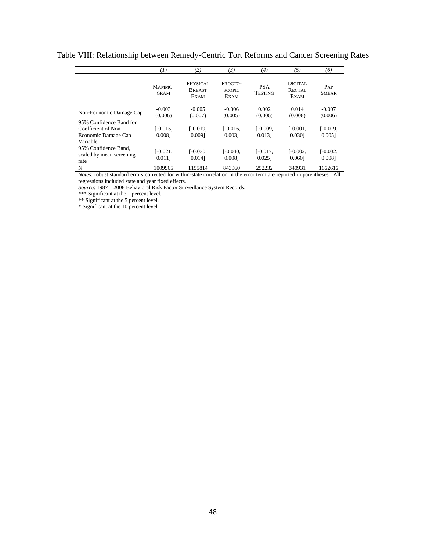|                                                                                   | 7)                   | (2)                                      | (3)                                     | (4)                          | (5)                              | (6)                     |
|-----------------------------------------------------------------------------------|----------------------|------------------------------------------|-----------------------------------------|------------------------------|----------------------------------|-------------------------|
|                                                                                   | MAMMO-<br>GRAM       | PHYSICAL<br><b>BREAST</b><br><b>EXAM</b> | PROCTO-<br><b>SCOPIC</b><br><b>EXAM</b> | <b>PSA</b><br><b>TESTING</b> | DIGITAL<br>RECTAL<br><b>EXAM</b> | PAP<br><b>SMEAR</b>     |
| Non-Economic Damage Cap                                                           | $-0.003$<br>(0.006)  | $-0.005$<br>(0.007)                      | $-0.006$<br>(0.005)                     | 0.002<br>(0.006)             | 0.014<br>(0.008)                 | $-0.007$<br>(0.006)     |
| 95% Confidence Band for<br>Coefficient of Non-<br>Economic Damage Cap<br>Variable | L-0.015.<br>0.0081   | $[-0.019,$<br>0.0091                     | $[-0.016,$<br>0.0031                    | $[-0.009]$<br>0.0131         | $[-0.001,$<br>0.0301             | $[-0.019,$<br>$0.005$ ] |
| 95% Confidence Band.<br>scaled by mean screening<br>rate                          | $[-0.021,$<br>0.0111 | $[-0.030,$<br>0.0141                     | $[-0.040,$<br>0.0081                    | $[-0.017,$<br>0.0251         | $[-0.002,$<br>0.0601             | $[-0.032,$<br>0.0081    |
| N                                                                                 | 1009965              | 1155814                                  | 843960                                  | 252232                       | 340931                           | 1662616                 |

Table VIII: Relationship between Remedy-Centric Tort Reforms and Cancer Screening Rates

*Notes*: robust standard errors corrected for within-state correlation in the error term are reported in parentheses. All regressions included state and year fixed effects.

*Source*: 1987 – 2008 Behavioral Risk Factor Surveillance System Records.

\*\*\* Significant at the 1 percent level.

\*\* Significant at the 5 percent level.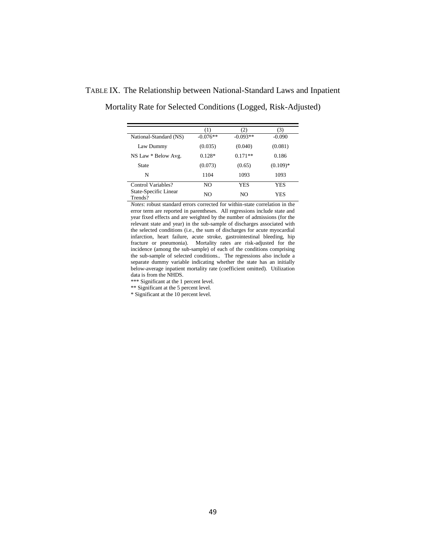|                                  | [1]        |            | 3)         |
|----------------------------------|------------|------------|------------|
| National-Standard (NS)           | $-0.076**$ | $-0.093**$ | $-0.090$   |
| Law Dummy                        | (0.035)    | (0.040)    | (0.081)    |
| NS Law * Below Avg.              | $0.128*$   | $0.171**$  | 0.186      |
| State                            | (0.073)    | (0.65)     | $(0.109)*$ |
| N                                | 1104       | 1093       | 1093       |
| Control Variables?               | NO         | YES        | <b>YES</b> |
| State-Specific Linear<br>Trends? | NO.        | NO.        | <b>YES</b> |

TABLE IX. The Relationship between National-Standard Laws and Inpatient

Mortality Rate for Selected Conditions (Logged, Risk-Adjusted)

*Notes*: robust standard errors corrected for within-state correlation in the error term are reported in parentheses. All regressions include state and year fixed effects and are weighted by the number of admissions (for the relevant state and year) in the sub-sample of discharges associated with the selected conditions (i.e., the sum of discharges for acute myocardial infarction, heart failure, acute stroke, gastrointestinal bleeding, hip fracture or pneumonia). Mortality rates are risk-adjusted for the incidence (among the sub-sample) of each of the conditions comprising the sub-sample of selected conditions.. The regressions also include a separate dummy variable indicating whether the state has an initially below-average inpatient mortality rate (coefficient omitted). Utilization data is from the NHDS.

\*\*\* Significant at the 1 percent level.

\*\* Significant at the 5 percent level.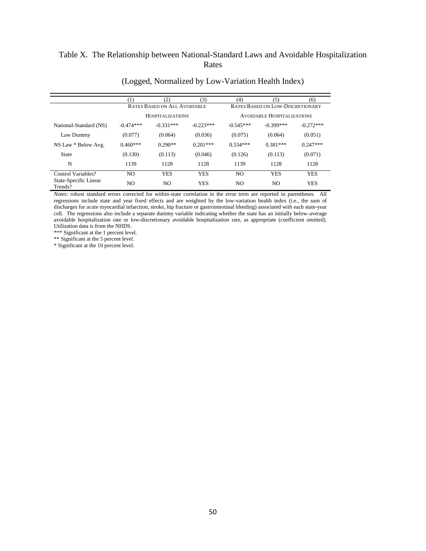# Table X. The Relationship between National-Standard Laws and Avoidable Hospitalization Rates

|                                  |                | (2)                                 | (3)         | (4)                               | (5)                                     | (6)         |
|----------------------------------|----------------|-------------------------------------|-------------|-----------------------------------|-----------------------------------------|-------------|
|                                  |                | <b>RATES BASED ON ALL AVOIDABLE</b> |             |                                   | <b>RATES BASED ON LOW-DISCRETIONARY</b> |             |
|                                  |                | <b>HOSPITALIZATIONS</b>             |             | <b>AVOIDABLE HOSPITALIZATIONS</b> |                                         |             |
| National-Standard (NS)           | $-0.474***$    | $-0.331***$                         | $-0.223***$ | $-0.545***$                       | $-0.399***$                             | $-0.272***$ |
| Law Dummy                        | (0.077)        | (0.064)                             | (0.036)     | (0.075)                           | (0.064)                                 | (0.051)     |
| NS Law * Below Avg.              | $0.460***$     | $0.290**$                           | $0.201***$  | $0.534***$                        | $0.381***$                              | $0.247***$  |
| <b>State</b>                     | (0.130)        | (0.113)                             | (0.046)     | (0.126)                           | (0.113)                                 | (0.071)     |
| N                                | 1139           | 1128                                | 1128        | 1139                              | 1128                                    | 1128        |
| Control Variables?               | N <sub>O</sub> | <b>YES</b>                          | <b>YES</b>  | NO.                               | <b>YES</b>                              | <b>YES</b>  |
| State-Specific Linear<br>Trends? | NO.            | NO.                                 | <b>YES</b>  | NO.                               | NO.                                     | <b>YES</b>  |

# (Logged, Normalized by Low-Variation Health Index)

*Notes*: robust standard errors corrected for within-state correlation in the error term are reported in parentheses. All regressions include state and year fixed effects and are weighted by the low-variation health index (i.e., the sum of discharges for acute myocardial infarction, stroke, hip fracture or gastrointestinal bleeding) associated with each state-year cell. The regressions also include a separate dummy variable indicating whether the state has an initially below-average avoidable hospitalization rate or low-discretionary avoidable hospitalization rate, as appropriate (coefficient omitted). Utilization data is from the NHDS.

\*\*\* Significant at the 1 percent level.

\*\* Significant at the 5 percent level.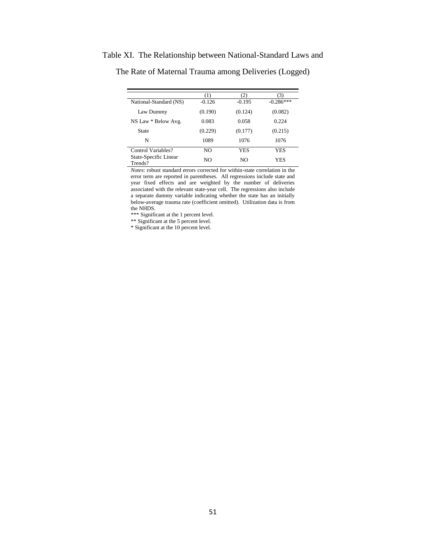|                                  |          | 21       |             |
|----------------------------------|----------|----------|-------------|
| National-Standard (NS)           | $-0.126$ | $-0.195$ | $-0.286***$ |
| Law Dummy                        | (0.190)  | (0.124)  | (0.082)     |
| NS Law * Below Avg.              | 0.083    | 0.058    | 0.224       |
| State                            | (0.229)  | (0.177)  | (0.215)     |
| N                                | 1089     | 1076     | 1076        |
| Control Variables?               | NO.      | YES      | <b>YES</b>  |
| State-Specific Linear<br>Trends? | NO.      | NO.      | <b>YES</b>  |

Table XI. The Relationship between National-Standard Laws and

The Rate of Maternal Trauma among Deliveries (Logged)

*Notes*: robust standard errors corrected for within-state correlation in the error term are reported in parentheses. All regressions include state and year fixed effects and are weighted by the number of deliveries associated with the relevant state-year cell. The regressions also include a separate dummy variable indicating whether the state has an initially below-average trauma rate (coefficient omitted). Utilization data is from the NHDS.

\*\*\* Significant at the 1 percent level.

\*\* Significant at the 5 percent level.